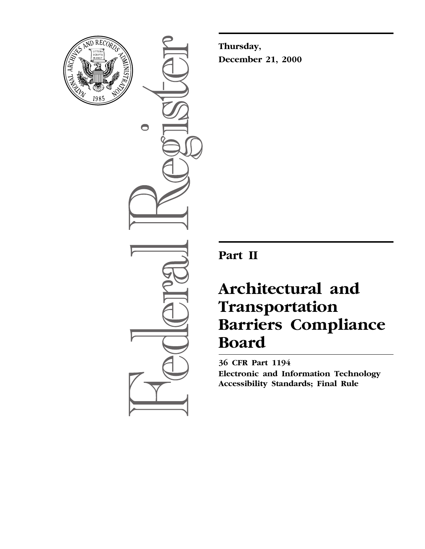

 $\bullet$ 

**Thursday, December 21, 2000**

### **Part II**

## **Architectural and Transportation Barriers Compliance Board**

**36 CFR Part 1194 Electronic and Information Technology Accessibility Standards; Final Rule**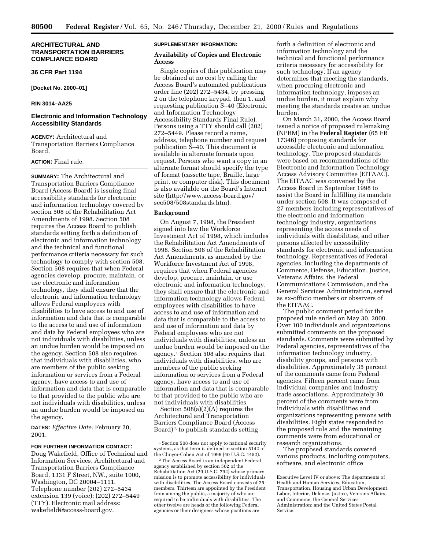#### **ARCHITECTURAL AND TRANSPORTATION BARRIERS COMPLIANCE BOARD**

#### **36 CFR Part 1194**

**[Docket No. 2000–01]**

#### **RIN 3014–AA25**

#### **Electronic and Information Technology Accessibility Standards**

**AGENCY:** Architectural and Transportation Barriers Compliance Board.

#### **ACTION:** Final rule.

**SUMMARY:** The Architectural and Transportation Barriers Compliance Board (Access Board) is issuing final accessibility standards for electronic and information technology covered by section 508 of the Rehabilitation Act Amendments of 1998. Section 508 requires the Access Board to publish standards setting forth a definition of electronic and information technology and the technical and functional performance criteria necessary for such technology to comply with section 508. Section 508 requires that when Federal agencies develop, procure, maintain, or use electronic and information technology, they shall ensure that the electronic and information technology allows Federal employees with disabilities to have access to and use of information and data that is comparable to the access to and use of information and data by Federal employees who are not individuals with disabilities, unless an undue burden would be imposed on the agency. Section 508 also requires that individuals with disabilities, who are members of the public seeking information or services from a Federal agency, have access to and use of information and data that is comparable to that provided to the public who are not individuals with disabilities, unless an undue burden would be imposed on the agency.

**DATES:** *Effective Date:* February 20, 2001.

#### **FOR FURTHER INFORMATION CONTACT:**

Doug Wakefield, Office of Technical and Information Services, Architectural and Transportation Barriers Compliance Board, 1331 F Street, NW., suite 1000, Washington, DC 20004–1111. Telephone number (202) 272–5434 extension 139 (voice); (202) 272–5449 (TTY). Electronic mail address: wakefield@access-board.gov.

#### **SUPPLEMENTARY INFORMATION:**

#### **Availability of Copies and Electronic Access**

Single copies of this publication may be obtained at no cost by calling the Access Board's automated publications order line (202) 272–5434, by pressing 2 on the telephone keypad, then 1, and requesting publication S–40 (Electronic and Information Technology Accessibility Standards Final Rule). Persons using a TTY should call (202) 272–5449. Please record a name, address, telephone number and request publication S–40. This document is available in alternate formats upon request. Persons who want a copy in an alternate format should specify the type of format (cassette tape, Braille, large print, or computer disk). This document is also available on the Board's Internet site (http://www.access-board.gov/ sec508/508standards.htm).

#### **Background**

On August 7, 1998, the President signed into law the Workforce Investment Act of 1998, which includes the Rehabilitation Act Amendments of 1998. Section 508 of the Rehabilitation Act Amendments, as amended by the Workforce Investment Act of 1998, requires that when Federal agencies develop, procure, maintain, or use electronic and information technology, they shall ensure that the electronic and information technology allows Federal employees with disabilities to have access to and use of information and data that is comparable to the access to and use of information and data by Federal employees who are not individuals with disabilities, unless an undue burden would be imposed on the agency.1 Section 508 also requires that individuals with disabilities, who are members of the public seeking information or services from a Federal agency, have access to and use of information and data that is comparable to that provided to the public who are not individuals with disabilities.

Section 508(a)(2)(A) requires the Architectural and Transportation Barriers Compliance Board (Access Board) 2 to publish standards setting

forth a definition of electronic and information technology and the technical and functional performance criteria necessary for accessibility for such technology. If an agency determines that meeting the standards, when procuring electronic and information technology, imposes an undue burden, it must explain why meeting the standards creates an undue burden.

On March 31, 2000, the Access Board issued a notice of proposed rulemaking (NPRM) in the **Federal Register** (65 FR 17346) proposing standards for accessible electronic and information technology. The proposed standards were based on recommendations of the Electronic and Information Technology Access Advisory Committee (EITAAC). The EITAAC was convened by the Access Board in September 1998 to assist the Board in fulfilling its mandate under section 508. It was composed of 27 members including representatives of the electronic and information technology industry, organizations representing the access needs of individuals with disabilities, and other persons affected by accessibility standards for electronic and information technology. Representatives of Federal agencies, including the departments of Commerce, Defense, Education, Justice, Veterans Affairs, the Federal Communications Commission, and the General Services Administration, served as ex-officio members or observers of the EITAAC.

The public comment period for the proposed rule ended on May 30, 2000. Over 100 individuals and organizations submitted comments on the proposed standards. Comments were submitted by Federal agencies, representatives of the information technology industry, disability groups, and persons with disabilities. Approximately 35 percent of the comments came from Federal agencies. Fifteen percent came from individual companies and industry trade associations. Approximately 30 percent of the comments were from individuals with disabilities and organizations representing persons with disabilities. Eight states responded to the proposed rule and the remaining comments were from educational or research organizations.

The proposed standards covered various products, including computers, software, and electronic office

<sup>&</sup>lt;sup>1</sup> Section 508 does not apply to national security systems, as that term is defined in section 5142 of the Clinger-Cohen Act of 1996 (40 U.S.C. 1452).

<sup>2</sup>The Access Board is an independent Federal agency established by section 502 of the Rehabilitation Act (29 U.S.C. 792) whose primary mission is to promote accessibility for individuals with disabilities. The Access Board consists of 25 members. Thirteen are appointed by the President from among the public, a majority of who are required to be individuals with disabilities. The other twelve are heads of the following Federal agencies or their designees whose positions are

Executive Level IV or above: The departments of Health and Human Services, Education, Transportation, Housing and Urban Development, Labor, Interior, Defense, Justice, Veterans Affairs, and Commerce; the General Services Administration; and the United States Postal Service.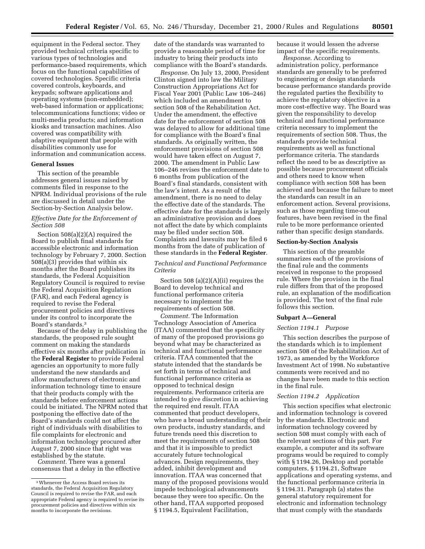equipment in the Federal sector. They provided technical criteria specific to various types of technologies and performance-based requirements, which focus on the functional capabilities of covered technologies. Specific criteria covered controls, keyboards, and keypads; software applications and operating systems (non-embedded); web-based information or applications; telecommunications functions; video or multi-media products; and information kiosks and transaction machines. Also covered was compatibility with adaptive equipment that people with disabilities commonly use for information and communication access.

#### **General Issues**

This section of the preamble addresses general issues raised by comments filed in response to the NPRM. Individual provisions of the rule are discussed in detail under the Section-by-Section Analysis below.

#### *Effective Date for the Enforcement of Section 508*

Section 508(a)(2)(A) required the Board to publish final standards for accessible electronic and information technology by February 7, 2000. Section 508(a)(3) provides that within six months after the Board publishes its standards, the Federal Acquisition Regulatory Council is required to revise the Federal Acquisition Regulation (FAR), and each Federal agency is required to revise the Federal procurement policies and directives under its control to incorporate the Board's standards.3

Because of the delay in publishing the standards, the proposed rule sought comment on making the standards effective six months after publication in the **Federal Register** to provide Federal agencies an opportunity to more fully understand the new standards and allow manufacturers of electronic and information technology time to ensure that their products comply with the standards before enforcement actions could be initiated. The NPRM noted that postponing the effective date of the Board's standards could not affect the right of individuals with disabilities to file complaints for electronic and information technology procured after August 7, 2000 since that right was established by the statute.

*Comment.* There was a general consensus that a delay in the effective

date of the standards was warranted to provide a reasonable period of time for industry to bring their products into compliance with the Board's standards.

*Response.* On July 13, 2000, President Clinton signed into law the Military Construction Appropriations Act for Fiscal Year 2001 (Public Law 106–246) which included an amendment to section 508 of the Rehabilitation Act. Under the amendment, the effective date for the enforcement of section 508 was delayed to allow for additional time for compliance with the Board's final standards. As originally written, the enforcement provisions of section 508 would have taken effect on August 7, 2000. The amendment in Public Law 106–246 revises the enforcement date to 6 months from publication of the Board's final standards, consistent with the law's intent. As a result of the amendment, there is no need to delay the effective date of the standards. The effective date for the standards is largely an administrative provision and does not affect the date by which complaints may be filed under section 508. Complaints and lawsuits may be filed 6 months from the date of publication of these standards in the **Federal Register**.

#### *Technical and Functional Performance Criteria*

Section 508 (a)(2)(A)(ii) requires the Board to develop technical and functional performance criteria necessary to implement the requirements of section 508.

*Comment.* The Information Technology Association of America (ITAA) commented that the specificity of many of the proposed provisions go beyond what may be characterized as technical and functional performance criteria. ITAA commented that the statute intended that the standards be set forth in terms of technical and functional performance criteria as opposed to technical design requirements. Performance criteria are intended to give discretion in achieving the required end result. ITAA commented that product developers, who have a broad understanding of their own products, industry standards, and future trends need this discretion to meet the requirements of section 508 and that it is impossible to predict accurately future technological advances. Design requirements, they added, inhibit development and innovation. ITAA was concerned that many of the proposed provisions would impede technological advancements because they were too specific. On the other hand, ITAA supported proposed § 1194.5, Equivalent Facilitation,

because it would lessen the adverse impact of the specific requirements.

*Response.* According to administration policy, performance standards are generally to be preferred to engineering or design standards because performance standards provide the regulated parties the flexibility to achieve the regulatory objective in a more cost-effective way. The Board was given the responsibility to develop technical and functional performance criteria necessary to implement the requirements of section 508. Thus, the standards provide technical requirements as well as functional performance criteria. The standards reflect the need to be as descriptive as possible because procurement officials and others need to know when compliance with section 508 has been achieved and because the failure to meet the standards can result in an enforcement action. Several provisions, such as those regarding time-out features, have been revised in the final rule to be more performance oriented rather than specific design standards.

#### **Section-by-Section Analysis**

This section of the preamble summarizes each of the provisions of the final rule and the comments received in response to the proposed rule. Where the provision in the final rule differs from that of the proposed rule, an explanation of the modification is provided. The text of the final rule follows this section.

#### **Subpart A—General**

#### *Section 1194.1 Purpose*

This section describes the purpose of the standards which is to implement section 508 of the Rehabilitation Act of 1973, as amended by the Workforce Investment Act of 1998. No substantive comments were received and no changes have been made to this section in the final rule.

#### *Section 1194.2 Application*

This section specifies what electronic and information technology is covered by the standards. Electronic and information technology covered by section 508 must comply with each of the relevant sections of this part. For example, a computer and its software programs would be required to comply with § 1194.26, Desktop and portable computers, § 1194.21, Software applications and operating systems, and the functional performance criteria in § 1194.31. Paragraph (a) states the general statutory requirement for electronic and information technology that must comply with the standards

<sup>3</sup>Whenever the Access Board revises its standards, the Federal Acquisition Regulatory Council is required to revise the FAR, and each appropriate Federal agency is required to revise its procurement policies and directives within six months to incorporate the revisions.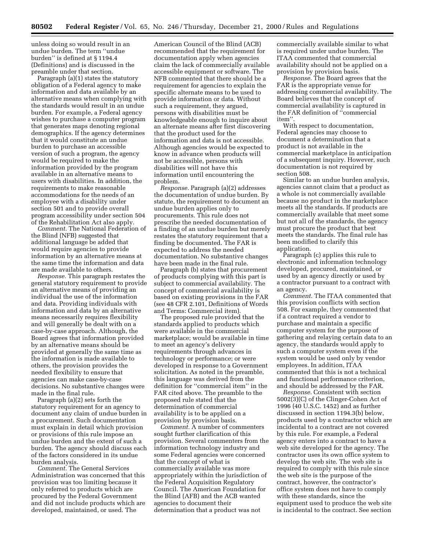unless doing so would result in an undue burden. The term ''undue burden'' is defined at § 1194.4 (Definitions) and is discussed in the preamble under that section.

Paragraph (a)(1) states the statutory obligation of a Federal agency to make information and data available by an alternative means when complying with the standards would result in an undue burden. For example, a Federal agency wishes to purchase a computer program that generates maps denoting regional demographics. If the agency determines that it would constitute an undue burden to purchase an accessible version of such a program, the agency would be required to make the information provided by the program available in an alternative means to users with disabilities. In addition, the requirements to make reasonable accommodations for the needs of an employee with a disability under section 501 and to provide overall program accessibility under section 504 of the Rehabilitation Act also apply.

*Comment.* The National Federation of the Blind (NFB) suggested that additional language be added that would require agencies to provide information by an alternative means at the same time the information and data are made available to others.

*Response.* This paragraph restates the general statutory requirement to provide an alternative means of providing an individual the use of the information and data. Providing individuals with information and data by an alternative means necessarily requires flexibility and will generally be dealt with on a case-by-case approach. Although, the Board agrees that information provided by an alternative means should be provided at generally the same time as the information is made available to others, the provision provides the needed flexibility to ensure that agencies can make case-by-case decisions. No substantive changes were made in the final rule.

Paragraph (a)(2) sets forth the statutory requirement for an agency to document any claim of undue burden in a procurement. Such documentation must explain in detail which provision or provisions of this rule impose an undue burden and the extent of such a burden. The agency should discuss each of the factors considered in its undue burden analysis.

*Comment.* The General Services Administration was concerned that this provision was too limiting because it only referred to products which are procured by the Federal Government and did not include products which are developed, maintained, or used. The

American Council of the Blind (ACB) recommended that the requirement for documentation apply when agencies claim the lack of commercially available accessible equipment or software. The NFB commented that there should be a requirement for agencies to explain the specific alternate means to be used to provide information or data. Without such a requirement, they argued, persons with disabilities must be knowledgeable enough to inquire about an alternate means after first discovering that the product used for the information and data is not accessible. Although agencies would be expected to know in advance when products will not be accessible, persons with disabilities will not have this information until encountering the problem.

*Response.* Paragraph (a)(2) addresses the documentation of undue burden. By statute, the requirement to document an undue burden applies only to procurements. This rule does not prescribe the needed documentation of a finding of an undue burden but merely restates the statutory requirement that a finding be documented. The FAR is expected to address the needed documentation. No substantive changes have been made in the final rule.

Paragraph (b) states that procurement of products complying with this part is subject to commercial availability. The concept of commercial availability is based on existing provisions in the FAR (see 48 CFR 2.101, Definitions of Words and Terms: Commercial item).

The proposed rule provided that the standards applied to products which were available in the commercial marketplace; would be available in time to meet an agency's delivery requirements through advances in technology or performance; or were developed in response to a Government solicitation. As noted in the preamble, this language was derived from the definition for ''commercial item'' in the FAR cited above. The preamble to the proposed rule stated that the determination of commercial availability is to be applied on a provision by provision basis.

*Comment.* A number of commenters sought further clarification of this provision. Several commenters from the information technology industry and some Federal agencies were concerned that the concept of what is commercially available was more appropriately within the jurisdiction of the Federal Acquisition Regulatory Council. The American Foundation for the Blind (AFB) and the ACB wanted agencies to document their determination that a product was not

commercially available similar to what is required under undue burden. The ITAA commented that commercial availability should not be applied on a provision by provision basis.

*Response.* The Board agrees that the FAR is the appropriate venue for addressing commercial availability. The Board believes that the concept of commercial availability is captured in the FAR definition of ''commercial item''.

With respect to documentation, Federal agencies may choose to document a determination that a product is not available in the commercial marketplace in anticipation of a subsequent inquiry. However, such documentation is not required by section 508.

Similar to an undue burden analysis, agencies cannot claim that a product as a whole is not commercially available because no product in the marketplace meets all the standards. If products are commercially available that meet some but not all of the standards, the agency must procure the product that best meets the standards. The final rule has been modified to clarify this application.

Paragraph (c) applies this rule to electronic and information technology developed, procured, maintained, or used by an agency directly or used by a contractor pursuant to a contract with an agency.

*Comment.* The ITAA commented that this provision conflicts with section 508. For example, they commented that if a contract required a vendor to purchase and maintain a specific computer system for the purpose of gathering and relaying certain data to an agency, the standards would apply to such a computer system even if the system would be used only by vendor employees. In addition, ITAA commented that this is not a technical and functional performance criterion, and should be addressed by the FAR.

*Response.* Consistent with section 5002(3)(C) of the Clinger-Cohen Act of 1996 (40 U.S.C. 1452) and as further discussed in section 1194.3(b) below, products used by a contractor which are incidental to a contract are not covered by this rule. For example, a Federal agency enters into a contract to have a web site developed for the agency. The contractor uses its own office system to develop the web site. The web site is required to comply with this rule since the web site is the purpose of the contract, however, the contractor's office system does not have to comply with these standards, since the equipment used to produce the web site is incidental to the contract. See section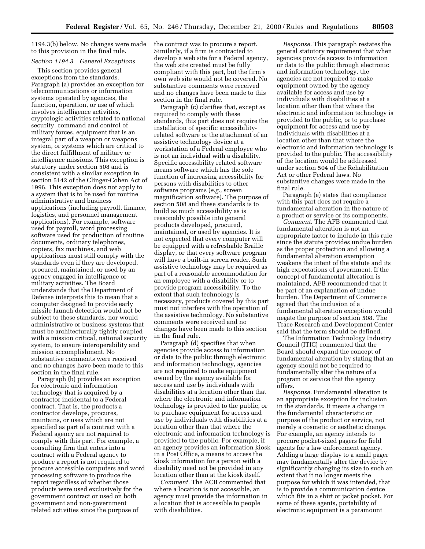1194.3(b) below. No changes were made to this provision in the final rule.

#### *Section 1194.3 General Exceptions*

This section provides general exceptions from the standards. Paragraph (a) provides an exception for telecommunications or information systems operated by agencies, the function, operation, or use of which involves intelligence activities, cryptologic activities related to national security, command and control of military forces, equipment that is an integral part of a weapon or weapons system, or systems which are critical to the direct fulfillment of military or intelligence missions. This exception is statutory under section 508 and is consistent with a similar exception in section 5142 of the Clinger-Cohen Act of 1996. This exception does not apply to a system that is to be used for routine administrative and business applications (including payroll, finance, logistics, and personnel management applications). For example, software used for payroll, word processing software used for production of routine documents, ordinary telephones, copiers, fax machines, and web applications must still comply with the standards even if they are developed, procured, maintained, or used by an agency engaged in intelligence or military activities. The Board understands that the Department of Defense interprets this to mean that a computer designed to provide early missile launch detection would not be subject to these standards, nor would administrative or business systems that must be architecturally tightly coupled with a mission critical, national security system, to ensure interoperability and mission accomplishment. No substantive comments were received and no changes have been made to this section in the final rule.

Paragraph (b) provides an exception for electronic and information technology that is acquired by a contractor incidental to a Federal contract. That is, the products a contractor develops, procures, maintains, or uses which are not specified as part of a contract with a Federal agency are not required to comply with this part. For example, a consulting firm that enters into a contract with a Federal agency to produce a report is not required to procure accessible computers and word processing software to produce the report regardless of whether those products were used exclusively for the government contract or used on both government and non-government related activities since the purpose of

the contract was to procure a report. Similarly, if a firm is contracted to develop a web site for a Federal agency, the web site created must be fully compliant with this part, but the firm's own web site would not be covered. No substantive comments were received and no changes have been made to this section in the final rule.

Paragraph (c) clarifies that, except as required to comply with these standards, this part does not require the installation of specific accessibilityrelated software or the attachment of an assistive technology device at a workstation of a Federal employee who is not an individual with a disability. Specific accessibility related software means software which has the sole function of increasing accessibility for persons with disabilities to other software programs (*e.g.,* screen magnification software). The purpose of section 508 and these standards is to build as much accessibility as is reasonably possible into general products developed, procured, maintained, or used by agencies. It is not expected that every computer will be equipped with a refreshable Braille display, or that every software program will have a built-in screen reader. Such assistive technology may be required as part of a reasonable accommodation for an employee with a disability or to provide program accessibility. To the extent that such technology is necessary, products covered by this part must not interfere with the operation of the assistive technology. No substantive comments were received and no changes have been made to this section in the final rule.

Paragraph (d) specifies that when agencies provide access to information or data to the public through electronic and information technology, agencies are not required to make equipment owned by the agency available for access and use by individuals with disabilities at a location other than that where the electronic and information technology is provided to the public, or to purchase equipment for access and use by individuals with disabilities at a location other than that where the electronic and information technology is provided to the public. For example, if an agency provides an information kiosk in a Post Office, a means to access the kiosk information for a person with a disability need not be provided in any location other than at the kiosk itself.

*Comment.* The ACB commented that where a location is not accessible, an agency must provide the information in a location that is accessible to people with disabilities.

*Response.* This paragraph restates the general statutory requirement that when agencies provide access to information or data to the public through electronic and information technology, the agencies are not required to make equipment owned by the agency available for access and use by individuals with disabilities at a location other than that where the electronic and information technology is provided to the public, or to purchase equipment for access and use by individuals with disabilities at a location other than that where the electronic and information technology is provided to the public. The accessibility of the location would be addressed under section 504 of the Rehabilitation Act or other Federal laws. No substantive changes were made in the final rule.

Paragraph (e) states that compliance with this part does not require a fundamental alteration in the nature of a product or service or its components.

*Comment.* The AFB commented that fundamental alteration is not an appropriate factor to include in this rule since the statute provides undue burden as the proper protection and allowing a fundamental alteration exemption weakens the intent of the statute and its high expectations of government. If the concept of fundamental alteration is maintained, AFB recommended that it be part of an explanation of undue burden. The Department of Commerce agreed that the inclusion of a fundamental alteration exception would negate the purpose of section 508. The Trace Research and Development Center said that the term should be defined.

The Information Technology Industry Council (ITIC) commented that the Board should expand the concept of fundamental alteration by stating that an agency should not be required to fundamentally alter the nature of a program or service that the agency offers.

*Response.* Fundamental alteration is an appropriate exception for inclusion in the standards. It means a change in the fundamental characteristic or purpose of the product or service, not merely a cosmetic or aesthetic change. For example, an agency intends to procure pocket-sized pagers for field agents for a law enforcement agency. Adding a large display to a small pager may fundamentally alter the device by significantly changing its size to such an extent that it no longer meets the purpose for which it was intended, that is to provide a communication device which fits in a shirt or jacket pocket. For some of these agents, portability of electronic equipment is a paramount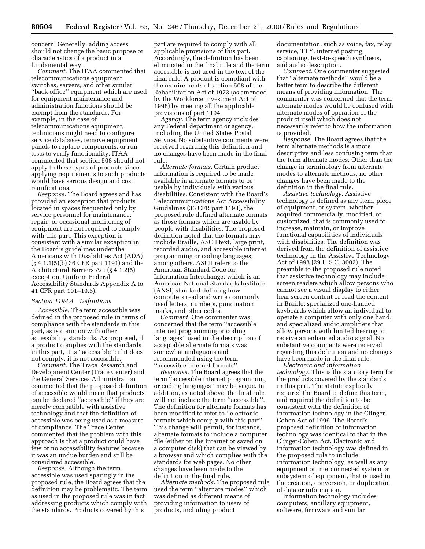concern. Generally, adding access should not change the basic purpose or characteristics of a product in a fundamental way.

*Comment.* The ITAA commented that telecommunications equipment switches, servers, and other similar ''back office'' equipment which are used for equipment maintenance and administration functions should be exempt from the standards. For example, in the case of telecommunications equipment, technicians might need to configure service databases, remove equipment panels to replace components, or run tests to verify functionality. ITAA commented that section 508 should not apply to these types of products since applying requirements to such products would have serious design and cost ramifications.

*Response.* The Board agrees and has provided an exception that products located in spaces frequented only by service personnel for maintenance, repair, or occasional monitoring of equipment are not required to comply with this part. This exception is consistent with a similar exception in the Board's guidelines under the Americans with Disabilities Act (ADA) (§ 4.1.1(5)(b) 36 CFR part 1191) and the Architectural Barriers Act (§ 4.1.2(5) exception, Uniform Federal Accessibility Standards Appendix A to 41 CFR part 101–19.6).

#### *Section 1194.4 Definitions*

*Accessible.* The term accessible was defined in the proposed rule in terms of compliance with the standards in this part, as is common with other accessibility standards. As proposed, if a product complies with the standards in this part, it is ''accessible''; if it does not comply, it is not accessible.

*Comment.* The Trace Research and Development Center (Trace Center) and the General Services Administration commented that the proposed definition of accessible would mean that products can be declared ''accessible'' if they are merely compatible with assistive technology and that the definition of accessible was being used as a measure of compliance. The Trace Center commented that the problem with this approach is that a product could have few or no accessibility features because it was an undue burden and still be considered accessible.

*Response.* Although the term accessible was used sparingly in the proposed rule, the Board agrees that the definition may be problematic. The term as used in the proposed rule was in fact addressing products which comply with the standards. Products covered by this

part are required to comply with all applicable provisions of this part. Accordingly, the definition has been eliminated in the final rule and the term accessible is not used in the text of the final rule. A product is compliant with the requirements of section 508 of the Rehabilitation Act of 1973 (as amended by the Workforce Investment Act of 1998) by meeting all the applicable provisions of part 1194.

*Agency.* The term agency includes any Federal department or agency, including the United States Postal Service. No substantive comments were received regarding this definition and no changes have been made in the final rule.

*Alternate formats.* Certain product information is required to be made available in alternate formats to be usable by individuals with various disabilities. Consistent with the Board's Telecommunications Act Accessibility Guidelines (36 CFR part 1193), the proposed rule defined alternate formats as those formats which are usable by people with disabilities. The proposed definition noted that the formats may include Braille, ASCII text, large print, recorded audio, and accessible internet programming or coding languages, among others. ASCII refers to the American Standard Code for Information Interchange, which is an American National Standards Institute (ANSI) standard defining how computers read and write commonly used letters, numbers, punctuation marks, and other codes.

*Comment.* One commenter was concerned that the term ''accessible internet programming or coding languages'' used in the description of acceptable alternate formats was somewhat ambiguous and recommended using the term ''accessible internet formats''.

*Response.* The Board agrees that the term ''accessible internet programming or coding languages'' may be vague. In addition, as noted above, the final rule will not include the term ''accessible''. The definition for alternate formats has been modified to refer to ''electronic formats which comply with this part''. This change will permit, for instance, alternate formats to include a computer file (either on the internet or saved on a computer disk) that can be viewed by a browser and which complies with the standards for web pages. No other changes have been made to the definition in the final rule.

*Alternate methods.* The proposed rule used the term ''alternate modes'' which was defined as different means of providing information to users of products, including product

documentation, such as voice, fax, relay service, TTY, internet posting, captioning, text-to-speech synthesis, and audio description.

*Comment.* One commenter suggested that ''alternate methods'' would be a better term to describe the different means of providing information. The commenter was concerned that the term alternate modes would be confused with alternate modes of operation of the product itself which does not necessarily refer to how the information is provided.

*Response.* The Board agrees that the term alternate methods is a more descriptive and less confusing term than the term alternate modes. Other than the change in terminology from alternate modes to alternate methods, no other changes have been made to the definition in the final rule.

*Assistive technology.* Assistive technology is defined as any item, piece of equipment, or system, whether acquired commercially, modified, or customized, that is commonly used to increase, maintain, or improve functional capabilities of individuals with disabilities. The definition was derived from the definition of assistive technology in the Assistive Technology Act of 1998 (29 U.S.C. 3002). The preamble to the proposed rule noted that assistive technology may include screen readers which allow persons who cannot see a visual display to either hear screen content or read the content in Braille, specialized one-handed keyboards which allow an individual to operate a computer with only one hand, and specialized audio amplifiers that allow persons with limited hearing to receive an enhanced audio signal. No substantive comments were received regarding this definition and no changes have been made in the final rule.

*Electronic and information technology.* This is the statutory term for the products covered by the standards in this part. The statute explicitly required the Board to define this term, and required the definition to be consistent with the definition of information technology in the Clinger-Cohen Act of 1996. The Board's proposed definition of information technology was identical to that in the Clinger-Cohen Act. Electronic and information technology was defined in the proposed rule to include information technology, as well as any equipment or interconnected system or subsystem of equipment, that is used in the creation, conversion, or duplication of data or information.

Information technology includes computers, ancillary equipment, software, firmware and similar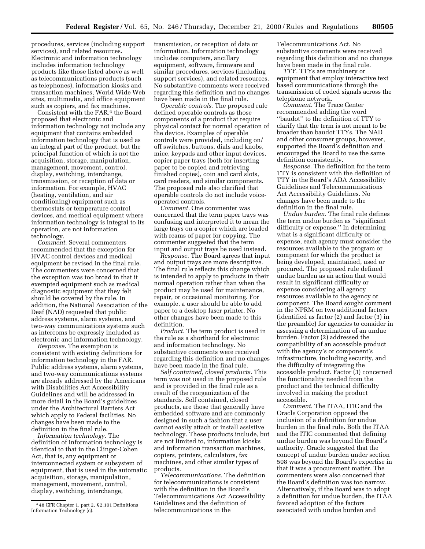procedures, services (including support services), and related resources. Electronic and information technology includes information technology products like those listed above as well as telecommunications products (such as telephones), information kiosks and transaction machines, World Wide Web sites, multimedia, and office equipment such as copiers, and fax machines.

Consistent with the FAR,4 the Board proposed that electronic and information technology not include any equipment that contains embedded information technology that is used as an integral part of the product, but the principal function of which is not the acquisition, storage, manipulation, management, movement, control, display, switching, interchange, transmission, or reception of data or information. For example, HVAC (heating, ventilation, and air conditioning) equipment such as thermostats or temperature control devices, and medical equipment where information technology is integral to its operation, are not information technology.

*Comment.* Several commenters recommended that the exception for HVAC control devices and medical equipment be revised in the final rule. The commenters were concerned that the exception was too broad in that it exempted equipment such as medical diagnostic equipment that they felt should be covered by the rule. In addition, the National Association of the Deaf (NAD) requested that public address systems, alarm systems, and two-way communications systems such as intercoms be expressly included as electronic and information technology.

*Response.* The exemption is consistent with existing definitions for information technology in the FAR. Public address systems, alarm systems, and two-way communications systems are already addressed by the Americans with Disabilities Act Accessibility Guidelines and will be addressed in more detail in the Board's guidelines under the Architectural Barriers Act which apply to Federal facilities. No changes have been made to the definition in the final rule.

*Information technology.* The definition of information technology is identical to that in the Clinger-Cohen Act, that is, any equipment or interconnected system or subsystem of equipment, that is used in the automatic acquisition, storage, manipulation, management, movement, control, display, switching, interchange,

transmission, or reception of data or information. Information technology includes computers, ancillary equipment, software, firmware and similar procedures, services (including support services), and related resources. No substantive comments were received regarding this definition and no changes have been made in the final rule.

*Operable controls.* The proposed rule defined operable controls as those components of a product that require physical contact for normal operation of the device. Examples of operable controls were provided, including on/ off switches, buttons, dials and knobs, mice, keypads and other input devices, copier paper trays (both for inserting paper to be copied and retrieving finished copies), coin and card slots, card readers, and similar components. The proposed rule also clarified that operable controls do not include voiceoperated controls.

*Comment.* One commenter was concerned that the term paper trays was confusing and interpreted it to mean the large trays on a copier which are loaded with reams of paper for copying. The commenter suggested that the term input and output trays be used instead.

*Response.* The Board agrees that input and output trays are more descriptive. The final rule reflects this change which is intended to apply to products in their normal operation rather than when the product may be used for maintenance, repair, or occasional monitoring. For example, a user should be able to add paper to a desktop laser printer. No other changes have been made to this definition.

*Product.* The term product is used in the rule as a shorthand for electronic and information technology. No substantive comments were received regarding this definition and no changes have been made in the final rule.

*Self contained, closed products.* This term was not used in the proposed rule and is provided in the final rule as a result of the reorganization of the standards. Self contained, closed products, are those that generally have embedded software and are commonly designed in such a fashion that a user cannot easily attach or install assistive technology. These products include, but are not limited to, information kiosks and information transaction machines, copiers, printers, calculators, fax machines, and other similar types of products.

*Telecommunications.* The definition for telecommunications is consistent with the definition in the Board's Telecommunications Act Accessibility Guidelines and the definition of telecommunications in the

Telecommunications Act. No substantive comments were received regarding this definition and no changes have been made in the final rule.

*TTY.* TTYs are machinery or equipment that employ interactive text based communications through the transmission of coded signals across the telephone network.

*Comment.* The Trace Center recommended adding the word ''baudot'' to the definition of TTY to clarify that the term is not meant to be broader than baudot TTYs. The NAD and other consumer groups, however, supported the Board's definition and encouraged the Board to use the same definition consistently.

*Response.* The definition for the term TTY is consistent with the definition of TTY in the Board's ADA Accessibility Guidelines and Telecommunications Act Accessibility Guidelines. No changes have been made to the definition in the final rule.

*Undue burden.* The final rule defines the term undue burden as ''significant difficulty or expense.'' In determining what is a significant difficulty or expense, each agency must consider the resources available to the program or component for which the product is being developed, maintained, used or procured. The proposed rule defined undue burden as an action that would result in significant difficulty or expense considering all agency resources available to the agency or component. The Board sought comment in the NPRM on two additional factors (identified as factor (2) and factor (3) in the preamble) for agencies to consider in assessing a determination of an undue burden. Factor (2) addressed the compatibility of an accessible product with the agency's or component's infrastructure, including security, and the difficulty of integrating the accessible product. Factor (3) concerned the functionality needed from the product and the technical difficulty involved in making the product accessible.

*Comment.* The ITAA, ITIC and the Oracle Corporation opposed the inclusion of a definition for undue burden in the final rule. Both the ITAA and the ITIC commented that defining undue burden was beyond the Board's authority. Oracle suggested that the concept of undue burden under section 508 was beyond the Board's expertise in that it was a procurement matter. The commenters were also concerned that the Board's definition was too narrow. Alternatively, if the Board was to adopt a definition for undue burden, the ITAA favored adoption of the factors associated with undue burden and

<sup>4</sup> 48 CFR Chapter 1, part 2, § 2.101 Definitions Information Technology (c).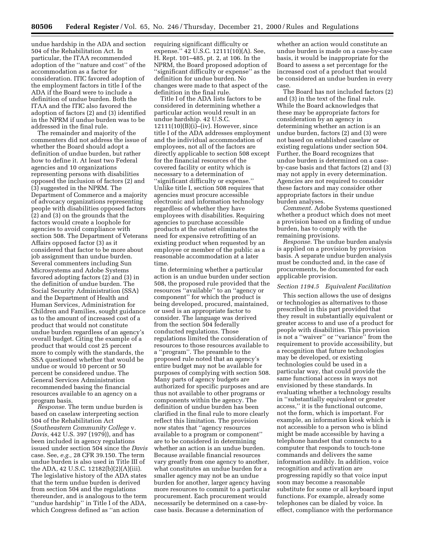undue hardship in the ADA and section 504 of the Rehabilitation Act. In particular, the ITAA recommended adoption of the ''nature and cost'' of the accommodation as a factor for consideration. ITIC favored adoption of the employment factors in title I of the ADA if the Board were to include a definition of undue burden. Both the ITAA and the ITIC also favored the adoption of factors (2) and (3) identified in the NPRM if undue burden was to be addressed in the final rule.

The remainder and majority of the commenters did not address the issue of whether the Board should adopt a definition of undue burden, but rather how to define it. At least two Federal agencies and 10 organizations representing persons with disabilities opposed the inclusion of factors (2) and (3) suggested in the NPRM. The Department of Commerce and a majority of advocacy organizations representing people with disabilities opposed factors (2) and (3) on the grounds that the factors would create a loophole for agencies to avoid compliance with section 508. The Department of Veterans Affairs opposed factor (3) as it considered that factor to be more about job assignment than undue burden. Several commenters including Sun Microsystems and Adobe Systems favored adopting factors (2) and (3) in the definition of undue burden. The Social Security Administration (SSA) and the Department of Health and Human Services, Administration for Children and Families, sought guidance as to the amount of increased cost of a product that would not constitute undue burden regardless of an agency's overall budget. Citing the example of a product that would cost 25 percent more to comply with the standards, the SSA questioned whether that would be undue or would 10 percent or 50 percent be considered undue. The General Services Administration recommended basing the financial resources available to an agency on a program basis.

*Response.* The term undue burden is based on caselaw interpreting section 504 of the Rehabilitation Act (*Southeastern Community College* v. *Davis,* 442 U.S. 397 (1979)), and has been included in agency regulations issued under section 504 since the *Davis* case. See, *e.g.,* 28 CFR 39.150. The term undue burden is also used in Title III of the ADA, 42 U.S.C. 12182(b)(2)(A)(iii). The legislative history of the ADA states that the term undue burden is derived from section 504 and the regulations thereunder, and is analogous to the term ''undue hardship'' in Title I of the ADA, which Congress defined as ''an action

requiring significant difficulty or expense.'' 42 U.S.C. 12111(10)(A). See, H. Rept. 101–485, pt. 2, at 106. In the NPRM, the Board proposed adoption of ''significant difficulty or expense'' as the definition for undue burden. No changes were made to that aspect of the definition in the final rule.

Title I of the ADA lists factors to be considered in determining whether a particular action would result in an undue hardship. 42 U.S.C.  $12111(10)(B)(i)$ –(iv). However, since title I of the ADA addresses employment and the individual accommodation of employees, not all of the factors are directly applicable to section 508 except for the financial resources of the covered facility or entity which is necessary to a determination of ''significant difficulty or expense.'' Unlike title I, section 508 requires that agencies must procure accessible electronic and information technology regardless of whether they have employees with disabilities. Requiring agencies to purchase accessible products at the outset eliminates the need for expensive retrofitting of an existing product when requested by an employee or member of the public as a reasonable accommodation at a later time.

In determining whether a particular action is an undue burden under section 508, the proposed rule provided that the resources ''available'' to an ''agency or component'' for which the product is being developed, procured, maintained, or used is an appropriate factor to consider. The language was derived from the section 504 federally conducted regulations. Those regulations limited the consideration of resources to those resources available to a ''program''. The preamble to the proposed rule noted that an agency's entire budget may not be available for purposes of complying with section 508. Many parts of agency budgets are authorized for specific purposes and are thus not available to other programs or components within the agency. The definition of undue burden has been clarified in the final rule to more clearly reflect this limitation. The provision now states that ''agency resources available to a program or component'' are to be considered in determining whether an action is an undue burden. Because available financial resources vary greatly from one agency to another, what constitutes an undue burden for a smaller agency may not be an undue burden for another, larger agency having more resources to commit to a particular procurement. Each procurement would necessarily be determined on a case-bycase basis. Because a determination of

whether an action would constitute an undue burden is made on a case-by-case basis, it would be inappropriate for the Board to assess a set percentage for the increased cost of a product that would be considered an undue burden in every case.

The Board has not included factors (2) and (3) in the text of the final rule. While the Board acknowledges that these may be appropriate factors for consideration by an agency in determining whether an action is an undue burden, factors (2) and (3) were not based on established caselaw or existing regulations under section 504. Further, the Board recognizes that undue burden is determined on a caseby-case basis and that factors (2) and (3) may not apply in every determination. Agencies are not required to consider these factors and may consider other appropriate factors in their undue burden analyses.

*Comment.* Adobe Systems questioned whether a product which does not meet a provision based on a finding of undue burden, has to comply with the remaining provisions.

*Response.* The undue burden analysis is applied on a provision by provision basis. A separate undue burden analysis must be conducted and, in the case of procurements, be documented for each applicable provision.

#### *Section 1194.5 Equivalent Facilitation*

This section allows the use of designs or technologies as alternatives to those prescribed in this part provided that they result in substantially equivalent or greater access to and use of a product for people with disabilities. This provision is not a ''waiver'' or ''variance'' from the requirement to provide accessibility, but a recognition that future technologies may be developed, or existing technologies could be used in a particular way, that could provide the same functional access in ways not envisioned by these standards. In evaluating whether a technology results in ''substantially equivalent or greater access,'' it is the functional outcome, not the form, which is important. For example, an information kiosk which is not accessible to a person who is blind might be made accessible by having a telephone handset that connects to a computer that responds to touch-tone commands and delivers the same information audibly. In addition, voice recognition and activation are progressing rapidly so that voice input soon may become a reasonable substitute for some or all keyboard input functions. For example, already some telephones can be dialed by voice. In effect, compliance with the performance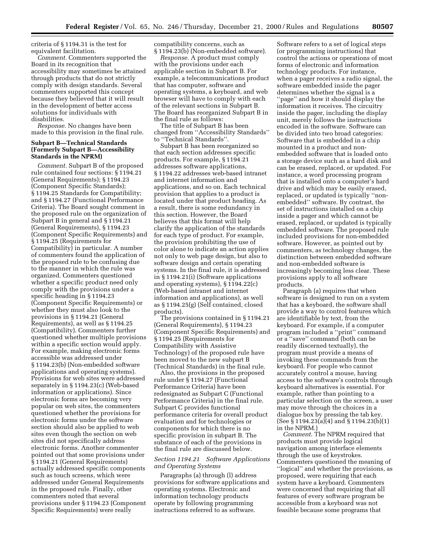criteria of § 1194.31 is the test for equivalent facilitation.

*Comment.* Commenters supported the Board in its recognition that accessibility may sometimes be attained through products that do not strictly comply with design standards. Several commenters supported this concept because they believed that it will result in the development of better access solutions for individuals with disabilities.

*Response.* No changes have been made to this provision in the final rule.

#### **Subpart B—Technical Standards (Formerly Subpart B—Accessibility Standards in the NPRM)**

*Comment.* Subpart B of the proposed rule contained four sections: § 1194.21 (General Requirements); § 1194.23 (Component Specific Standards); § 1194.25 Standards for Compatibility; and § 1194.27 (Functional Performance Criteria). The Board sought comment in the proposed rule on the organization of Subpart B in general and § 1194.21 (General Requirements), § 1194.23 (Component Specific Requirements) and § 1194.25 (Requirements for Compatibility) in particular. A number of commenters found the application of the proposed rule to be confusing due to the manner in which the rule was organized. Commenters questioned whether a specific product need only comply with the provisions under a specific heading in § 1194.23 (Component Specific Requirements) or whether they must also look to the provisions in § 1194.21 (General Requirements), as well as § 1194.25 (Compatibility). Commenters further questioned whether multiple provisions within a specific section would apply. For example, making electronic forms accessible was addressed under § 1194.23(b) (Non-embedded software applications and operating systems). Provisions for web sites were addressed separately in § 1194.23(c) (Web-based information or applications). Since electronic forms are becoming very popular on web sites, the commenters questioned whether the provisions for electronic forms under the software section should also be applied to web sites even though the section on web sites did not specifically address electronic forms. Another commenter pointed out that some provisions under § 1194.21 (General Requirements) actually addressed specific components such as touch screens, which were addressed under General Requirements in the proposed rule. Finally, other commenters noted that several provisions under § 1194.23 (Component Specific Requirements) were really

compatibility concerns, such as § 1194.23(b) (Non-embedded software).

*Response.* A product must comply with the provisions under each applicable section in Subpart B. For example, a telecommunications product that has computer, software and operating systems, a keyboard, and web browser will have to comply with each of the relevant sections in Subpart B. The Board has reorganized Subpart B in the final rule as follows:

The title of Subpart B has been changed from ''Accessibility Standards'' to ''Technical Standards''.

Subpart B has been reorganized so that each section addresses specific products. For example, § 1194.21 addresses software applications, § 1194.22 addresses web-based intranet and internet information and applications, and so on. Each technical provision that applies to a product is located under that product heading. As a result, there is some redundancy in this section. However, the Board believes that this format will help clarify the application of the standards for each type of product. For example, the provision prohibiting the use of color alone to indicate an action applies not only to web page design, but also to software design and certain operating systems. In the final rule, it is addressed in § 1194.21(i) (Software applications and operating systems), § 1194.22(c) (Web-based intranet and internet information and applications), as well as § 1194.25(g) (Self contained, closed products).

The provisions contained in § 1194.21 (General Requirements), § 1194.23 (Component Specific Requirements) and § 1194.25 (Requirements for Compatibility with Assistive Technology) of the proposed rule have been moved to the new subpart B (Technical Standards) in the final rule.

Also, the provisions in the proposed rule under § 1194.27 (Functional Performance Criteria) have been redesignated as Subpart C (Functional Performance Criteria) in the final rule. Subpart C provides functional performance criteria for overall product evaluation and for technologies or components for which there is no specific provision in subpart B. The substance of each of the provisions in the final rule are discussed below.

#### *Section 1194.21 Software Applications and Operating Systems*

Paragraphs (a) through (l) address provisions for software applications and operating systems. Electronic and information technology products operate by following programming instructions referred to as software.

Software refers to a set of logical steps (or programming instructions) that control the actions or operations of most forms of electronic and information technology products. For instance, when a pager receives a radio signal, the software embedded inside the pager determines whether the signal is a ''page'' and how it should display the information it receives. The circuitry inside the pager, including the display unit, merely follows the instructions encoded in the software. Software can be divided into two broad categories: Software that is embedded in a chip mounted in a product and nonembedded software that is loaded onto a storage device such as a hard disk and can be erased, replaced, or updated. For instance, a word processing program that is installed onto a computer's hard drive and which may be easily erased, replaced, or updated is typically ''nonembedded'' software. By contrast, the set of instructions installed on a chip inside a pager and which cannot be erased, replaced, or updated is typically embedded software. The proposed rule included provisions for non-embedded software. However, as pointed out by commenters, as technology changes, the distinction between embedded software and non-embedded software is increasingly becoming less clear. These provisions apply to all software products.

Paragraph (a) requires that when software is designed to run on a system that has a keyboard, the software shall provide a way to control features which are identifiable by text, from the keyboard. For example, if a computer program included a ''print'' command or a ''save'' command (both can be readily discerned textually), the program must provide a means of invoking these commands from the keyboard. For people who cannot accurately control a mouse, having access to the software's controls through keyboard alternatives is essential. For example, rather than pointing to a particular selection on the screen, a user may move through the choices in a dialogue box by pressing the tab key. (See § 1194.23(a)(4) and § 1194.23(b)(1) in the NPRM.)

*Comment.* The NPRM required that products must provide logical navigation among interface elements through the use of keystrokes. Commenters questioned the meaning of ''logical'' and whether the provisions, as proposed, were requiring that each system have a keyboard. Commenters were concerned that requiring that all features of every software program be accessible from a keyboard was not feasible because some programs that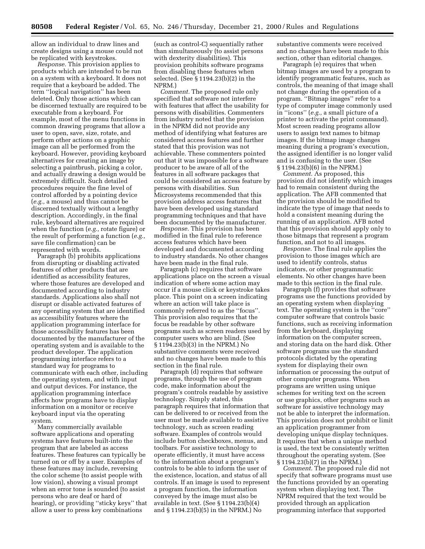allow an individual to draw lines and create designs using a mouse could not be replicated with keystrokes.

*Response.* This provision applies to products which are intended to be run on a system with a keyboard. It does not require that a keyboard be added. The term ''logical navigation'' has been deleted. Only those actions which can be discerned textually are required to be executable from a keyboard. For example, most of the menu functions in common drawing programs that allow a user to open, save, size, rotate, and perform other actions on a graphic image can all be performed from the keyboard. However, providing keyboard alternatives for creating an image by selecting a paintbrush, picking a color, and actually drawing a design would be extremely difficult. Such detailed procedures require the fine level of control afforded by a pointing device (*e.g.,* a mouse) and thus cannot be discerned textually without a lengthy description. Accordingly, in the final rule, keyboard alternatives are required when the function (*e.g.,* rotate figure) or the result of performing a function (*e.g.,* save file confirmation) can be represented with words.

Paragraph (b) prohibits applications from disrupting or disabling activated features of other products that are identified as accessibility features, where those features are developed and documented according to industry standards. Applications also shall not disrupt or disable activated features of any operating system that are identified as accessibility features where the application programming interface for those accessibility features has been documented by the manufacturer of the operating system and is available to the product developer. The application programming interface refers to a standard way for programs to communicate with each other, including the operating system, and with input and output devices. For instance, the application programming interface affects how programs have to display information on a monitor or receive keyboard input via the operating system.

Many commercially available software applications and operating systems have features built-into the program that are labeled as access features. These features can typically be turned on or off by a user. Examples of these features may include, reversing the color scheme (to assist people with low vision), showing a visual prompt when an error tone is sounded (to assist persons who are deaf or hard of hearing), or providing ''sticky keys'' that allow a user to press key combinations

(such as control-C) sequentially rather than simultaneously (to assist persons with dexterity disabilities). This provision prohibits software programs from disabling these features when selected. (See § 1194.23(b)(2) in the NPRM.)

*Comment.* The proposed rule only specified that software not interfere with features that affect the usability for persons with disabilities. Commenters from industry noted that the provision in the NPRM did not provide any method of identifying what features are considered access features and further stated that this provision was not achievable. These commenters pointed out that it was impossible for a software producer to be aware of all of the features in all software packages that could be considered an access feature by persons with disabilities. Sun Microsystems recommended that this provision address access features that have been developed using standard programming techniques and that have been documented by the manufacturer.

*Response.* This provision has been modified in the final rule to reference access features which have been developed and documented according to industry standards. No other changes have been made in the final rule.

Paragraph (c) requires that software applications place on the screen a visual indication of where some action may occur if a mouse click or keystroke takes place. This point on a screen indicating where an action will take place is commonly referred to as the ''focus''. This provision also requires that the focus be readable by other software programs such as screen readers used by computer users who are blind. (See § 1194.23(b)(3) in the NPRM.) No substantive comments were received and no changes have been made to this section in the final rule.

Paragraph (d) requires that software programs, through the use of program code, make information about the program's controls readable by assistive technology. Simply stated, this paragraph requires that information that can be delivered to or received from the user must be made available to assistive technology, such as screen reading software. Examples of controls would include button checkboxes, menus, and toolbars. For assistive technology to operate efficiently, it must have access to the information about a program's controls to be able to inform the user of the existence, location, and status of all controls. If an image is used to represent a program function, the information conveyed by the image must also be available in text. (See § 1194.23(b)(4) and § 1194.23(b)(5) in the NPRM.) No

substantive comments were received and no changes have been made to this section, other than editorial changes.

Paragraph (e) requires that when bitmap images are used by a program to identify programmatic features, such as controls, the meaning of that image shall not change during the operation of a program. ''Bitmap images'' refer to a type of computer image commonly used in ''icons'' (*e.g.,* a small picture of a printer to activate the print command). Most screen reading programs allow users to assign text names to bitmap images. If the bitmap image changes meaning during a program's execution, the assigned identifier is no longer valid and is confusing to the user. (See § 1194.23(b)(6) in the NPRM.)

*Comment.* As proposed, this provision did not identify which images had to remain consistent during the application. The AFB commented that the provision should be modified to indicate the type of image that needs to hold a consistent meaning during the running of an application. AFB noted that this provision should apply only to those bitmaps that represent a program function, and not to all images.

*Response.* The final rule applies the provision to those images which are used to identify controls, status indicators, or other programmatic elements. No other changes have been made to this section in the final rule.

Paragraph (f) provides that software programs use the functions provided by an operating system when displaying text. The operating system is the ''core'' computer software that controls basic functions, such as receiving information from the keyboard, displaying information on the computer screen, and storing data on the hard disk. Other software programs use the standard protocols dictated by the operating system for displaying their own information or processing the output of other computer programs. When programs are written using unique schemes for writing text on the screen or use graphics, other programs such as software for assistive technology may not be able to interpret the information. This provision does not prohibit or limit an application programmer from developing unique display techniques. It requires that when a unique method is used, the text be consistently written throughout the operating system. (See § 1194.23(b)(7) in the NPRM.)

*Comment.* The proposed rule did not specify that software programs must use the functions provided by an operating system when displaying text. The NPRM required that the text would be provided through an application programming interface that supported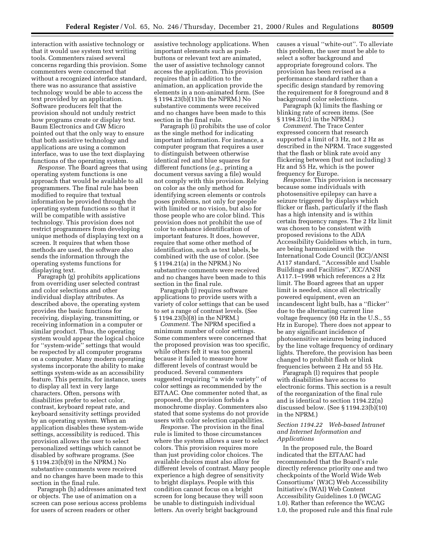interaction with assistive technology or that it would use system text writing tools. Commenters raised several concerns regarding this provision. Some commenters were concerned that without a recognized interface standard, there was no assurance that assistive technology would be able to access the text provided by an application. Software producers felt that the provision should not unduly restrict how programs create or display text. Baum Electronics and GW Micro pointed out that the only way to ensure that both assistive technology and applications are using a common interface, was to use the text displaying functions of the operating system.

*Response.* The Board agrees that using operating system functions is one approach that would be available to all programmers. The final rule has been modified to require that textual information be provided through the operating system functions so that it will be compatible with assistive technology. This provision does not restrict programmers from developing unique methods of displaying text on a screen. It requires that when those methods are used, the software also sends the information through the operating systems functions for displaying text.

Paragraph (g) prohibits applications from overriding user selected contrast and color selections and other individual display attributes. As described above, the operating system provides the basic functions for receiving, displaying, transmitting, or receiving information in a computer or similar product. Thus, the operating system would appear the logical choice for ''system-wide'' settings that would be respected by all computer programs on a computer. Many modern operating systems incorporate the ability to make settings system-wide as an accessibility feature. This permits, for instance, users to display all text in very large characters. Often, persons with disabilities prefer to select color, contrast, keyboard repeat rate, and keyboard sensitivity settings provided by an operating system. When an application disables these system-wide settings, accessibility is reduced. This provision allows the user to select personalized settings which cannot be disabled by software programs. (See § 1194.23(b)(9) in the NPRM.) No substantive comments were received and no changes have been made to this section in the final rule.

Paragraph (h) addresses animated text or objects. The use of animation on a screen can pose serious access problems for users of screen readers or other

assistive technology applications. When important elements such as pushbuttons or relevant text are animated, the user of assistive technology cannot access the application. This provision requires that in addition to the animation, an application provide the elements in a non-animated form. (See § 1194.23(b)(11)in the NPRM.) No substantive comments were received and no changes have been made to this section in the final rule.

Paragraph (i) prohibits the use of color as the single method for indicating important information. For instance, a computer program that requires a user to distinguish between otherwise identical red and blue squares for different functions (*e.g.,* printing a document versus saving a file) would not comply with this provision. Relying on color as the only method for identifying screen elements or controls poses problems, not only for people with limited or no vision, but also for those people who are color blind. This provision does not prohibit the use of color to enhance identification of important features. It does, however, require that some other method of identification, such as text labels, be combined with the use of color. (See § 1194.21(a) in the NPRM.) No substantive comments were received and no changes have been made to this section in the final rule.

Paragraph (j) requires software applications to provide users with a variety of color settings that can be used to set a range of contrast levels. (See § 1194.23(b)(8) in the NPRM.)

*Comment.* The NPRM specified a minimum number of color settings. Some commenters were concerned that the proposed provision was too specific, while others felt it was too general because it failed to measure how different levels of contrast would be produced. Several commenters suggested requiring ''a wide variety'' of color settings as recommended by the EITAAC. One commenter noted that, as proposed, the provision forbids a monochrome display. Commenters also stated that some systems do not provide users with color selection capabilities.

*Response.* The provision in the final rule is limited to those circumstances where the system allows a user to select colors. This provision requires more than just providing color choices. The available choices must also allow for different levels of contrast. Many people experience a high degree of sensitivity to bright displays. People with this condition cannot focus on a bright screen for long because they will soon be unable to distinguish individual letters. An overly bright background

causes a visual ''white-out''. To alleviate this problem, the user must be able to select a softer background and appropriate foreground colors. The provision has been revised as a performance standard rather than a specific design standard by removing the requirement for 8 foreground and 8 background color selections.

Paragraph (k) limits the flashing or blinking rate of screen items. (See § 1194.21(c) in the NPRM.)

*Comment.* The Trace Center expressed concern that research supported a limit of 3 Hz, not 2 Hz as described in the NPRM. Trace suggested that the flash or blink rate avoid any flickering between (but not including) 3 Hz and 55 Hz, which is the power frequency for Europe.

*Response.* This provision is necessary because some individuals with photosensitive epilepsy can have a seizure triggered by displays which flicker or flash, particularly if the flash has a high intensity and is within certain frequency ranges. The 2 Hz limit was chosen to be consistent with proposed revisions to the ADA Accessibility Guidelines which, in turn, are being harmonized with the International Code Council (ICC)/ANSI A117 standard, ''Accessible and Usable Buildings and Facilities'', ICC/ANSI A117.1–1998 which references a 2 Hz limit. The Board agrees that an upper limit is needed, since all electrically powered equipment, even an incandescent light bulb, has a ''flicker'' due to the alternating current line voltage frequency (60 Hz in the U.S., 55 Hz in Europe). There does not appear to be any significant incidence of photosensitive seizures being induced by the line voltage frequency of ordinary lights. Therefore, the provision has been changed to prohibit flash or blink frequencies between 2 Hz and 55 Hz.

Paragraph (l) requires that people with disabilities have access to electronic forms. This section is a result of the reorganization of the final rule and is identical to section 1194.22(n) discussed below. (See § 1194.23(b)(10) in the NPRM.)

#### *Section 1194.22 Web-based Intranet and Internet Information and Applications*

In the proposed rule, the Board indicated that the EITAAC had recommended that the Board's rule directly reference priority one and two checkpoints of the World Wide Web Consortiums' (W3C) Web Accessibility Initiative's (WAI) Web Content Accessibility Guidelines 1.0 (WCAG 1.0). Rather than reference the WCAG 1.0, the proposed rule and this final rule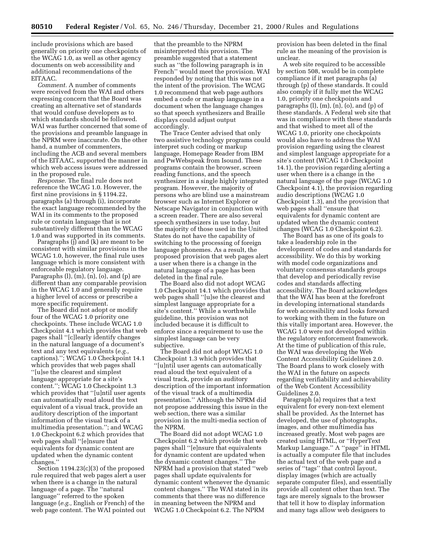include provisions which are based generally on priority one checkpoints of the WCAG 1.0, as well as other agency documents on web accessibility and additional recommendations of the EITAAC.

*Comment.* A number of comments were received from the WAI and others expressing concern that the Board was creating an alternative set of standards that would confuse developers as to which standards should be followed. WAI was further concerned that some of the provisions and preamble language in the NPRM were inaccurate. On the other hand, a number of commenters, including the ACB and several members of the EITAAC, supported the manner in which web access issues were addressed in the proposed rule.

*Response.* The final rule does not reference the WCAG 1.0. However, the first nine provisions in § 1194.22, paragraphs (a) through (i), incorporate the exact language recommended by the WAI in its comments to the proposed rule or contain language that is not substantively different than the WCAG 1.0 and was supported in its comments.

Paragraphs (j) and (k) are meant to be consistent with similar provisions in the WCAG 1.0, however, the final rule uses language which is more consistent with enforceable regulatory language. Paragraphs  $(l)$ ,  $(m)$ ,  $(n)$ ,  $(o)$ , and  $(p)$  are different than any comparable provision in the WCAG 1.0 and generally require a higher level of access or prescribe a more specific requirement.

The Board did not adopt or modify four of the WCAG 1.0 priority one checkpoints. These include WCAG 1.0 Checkpoint 4.1 which provides that web pages shall ''[c]learly identify changes in the natural language of a document's text and any text equivalents (*e.g.,* captions).''; WCAG 1.0 Checkpoint 14.1 which provides that web pages shall ''[u]se the clearest and simplest language appropriate for a site's content.''; WCAG 1.0 Checkpoint 1.3 which provides that ''[u]ntil user agents can automatically read aloud the text equivalent of a visual track, provide an auditory description of the important information of the visual track of a multimedia presentation.''; and WCAG 1.0 Checkpoint 6.2 which provides that web pages shall ''[e]nsure that equivalents for dynamic content are updated when the dynamic content changes.''

Section 1194.23(c)(3) of the proposed rule required that web pages alert a user when there is a change in the natural language of a page. The ''natural language'' referred to the spoken language (*e.g.,* English or French) of the web page content. The WAI pointed out that the preamble to the NPRM misinterpreted this provision. The preamble suggested that a statement such as ''the following paragraph is in French'' would meet the provision. WAI responded by noting that this was not the intent of the provision. The WCAG 1.0 recommend that web page authors embed a code or markup language in a document when the language changes so that speech synthesizers and Braille displays could adjust output accordingly.

The Trace Center advised that only two assistive technology programs could interpret such coding or markup language, Homepage Reader from IBM and PwWebspeak from Isound. These programs contain the browser, screen reading functions, and the speech synthesizer in a single highly integrated program. However, the majority of persons who are blind use a mainstream browser such as Internet Explorer or Netscape Navigator in conjunction with a screen reader. There are also several speech synthesizers in use today, but the majority of those used in the United States do not have the capability of switching to the processing of foreign language phonemes. As a result, the proposed provision that web pages alert a user when there is a change in the natural language of a page has been deleted in the final rule.

The Board also did not adopt WCAG 1.0 Checkpoint 14.1 which provides that web pages shall ''[u]se the clearest and simplest language appropriate for a site's content.'' While a worthwhile guideline, this provision was not included because it is difficult to enforce since a requirement to use the simplest language can be very subjective.

The Board did not adopt WCAG 1.0 Checkpoint 1.3 which provides that ''[u]ntil user agents can automatically read aloud the text equivalent of a visual track, provide an auditory description of the important information of the visual track of a multimedia presentation.'' Although the NPRM did not propose addressing this issue in the web section, there was a similar provision in the multi-media section of the NPRM.

The Board did not adopt WCAG 1.0 Checkpoint 6.2 which provide that web pages shall ''[e]nsure that equivalents for dynamic content are updated when the dynamic content changes.'' The NPRM had a provision that stated ''web pages shall update equivalents for dynamic content whenever the dynamic content changes.'' The WAI stated in its comments that there was no difference in meaning between the NPRM and WCAG 1.0 Checkpoint 6.2. The NPRM

provision has been deleted in the final rule as the meaning of the provision is unclear.

A web site required to be accessible by section 508, would be in complete compliance if it met paragraphs (a) through (p) of these standards. It could also comply if it fully met the WCAG 1.0, priority one checkpoints and paragraphs  $(l)$ ,  $(m)$ ,  $(n)$ ,  $(o)$ , and  $(p)$  of these standards. A Federal web site that was in compliance with these standards and that wished to meet all of the WCAG 1.0, priority one checkpoints would also have to address the WAI provision regarding using the clearest and simplest language appropriate for a site's content (WCAG 1.0 Checkpoint 14.1), the provision regarding alerting a user when there is a change in the natural language of the page (WCAG 1.0 Checkpoint 4.1), the provision regarding audio descriptions (WCAG 1.0 Checkpoint 1.3), and the provision that web pages shall ''ensure that equivalents for dynamic content are updated when the dynamic content changes (WCAG 1.0 Checkpoint 6.2).

The Board has as one of its goals to take a leadership role in the development of codes and standards for accessibility. We do this by working with model code organizations and voluntary consensus standards groups that develop and periodically revise codes and standards affecting accessibility. The Board acknowledges that the WAI has been at the forefront in developing international standards for web accessibility and looks forward to working with them in the future on this vitally important area. However, the WCAG 1.0 were not developed within the regulatory enforcement framework. At the time of publication of this rule, the WAI was developing the Web Content Accessibility Guidelines 2.0. The Board plans to work closely with the WAI in the future on aspects regarding verifiability and achievability of the Web Content Accessibility Guidelines 2.0.

Paragraph (a) requires that a text equivalent for every non-text element shall be provided. As the Internet has developed, the use of photographs, images, and other multimedia has increased greatly. Most web pages are created using HTML, or ''HyperText Markup Language.'' A ''page'' in HTML is actually a computer file that includes the actual text of the web page and a series of ''tags'' that control layout, display images (which are actually separate computer files), and essentially provide all content other than text. The tags are merely signals to the browser that tell it how to display information and many tags allow web designers to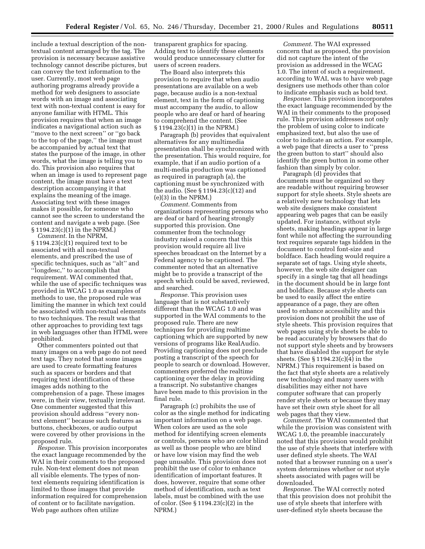include a textual description of the nontextual content arranged by the tag. The provision is necessary because assistive technology cannot describe pictures, but can convey the text information to the user. Currently, most web page authoring programs already provide a method for web designers to associate words with an image and associating text with non-textual content is easy for anyone familiar with HTML. This provision requires that when an image indicates a navigational action such as ''move to the next screen'' or ''go back to the top of the page,'' the image must be accompanied by actual text that states the purpose of the image, in other words, what the image is telling you to do. This provision also requires that when an image is used to represent page content, the image must have a text description accompanying it that explains the meaning of the image. Associating text with these images makes it possible, for someone who cannot see the screen to understand the content and navigate a web page. (See § 1194.23(c)(1) in the NPRM.)

*Comment.* In the NPRM, § 1194.23(c)(1) required text to be associated with all non-textual elements, and prescribed the use of specific techniques, such as ''alt'' and ''longdesc,'' to accomplish that requirement. WAI commented that, while the use of specific techniques was provided in WCAG 1.0 as examples of methods to use, the proposed rule was limiting the manner in which text could be associated with non-textual elements to two techniques. The result was that other approaches to providing text tags in web languages other than HTML were prohibited.

Other commenters pointed out that many images on a web page do not need text tags. They noted that some images are used to create formatting features such as spacers or borders and that requiring text identification of these images adds nothing to the comprehension of a page. These images were, in their view, textually irrelevant. One commenter suggested that this provision should address ''every nontext element'' because such features as buttons, checkboxes, or audio output were covered by other provisions in the proposed rule.

*Response.* This provision incorporates the exact language recommended by the WAI in their comments to the proposed rule. Non-text element does not mean all visible elements. The types of nontext elements requiring identification is limited to those images that provide information required for comprehension of content or to facilitate navigation. Web page authors often utilize

transparent graphics for spacing. Adding text to identify these elements would produce unnecessary clutter for users of screen readers.

The Board also interprets this provision to require that when audio presentations are available on a web page, because audio is a non-textual element, text in the form of captioning must accompany the audio, to allow people who are deaf or hard of hearing to comprehend the content. (See § 1194.23(c)(1) in the NPRM.)

Paragraph (b) provides that equivalent alternatives for any multimedia presentation shall be synchronized with the presentation. This would require, for example, that if an audio portion of a multi-media production was captioned as required in paragraph (a), the captioning must be synchronized with the audio. (See § 1194.23(c)(12) and (e)(3) in the NPRM.)

*Comment.* Comments from organizations representing persons who are deaf or hard of hearing strongly supported this provision. One commenter from the technology industry raised a concern that this provision would require all live speeches broadcast on the Internet by a Federal agency to be captioned. The commenter noted that an alternative might be to provide a transcript of the speech which could be saved, reviewed, and searched.

*Response.* This provision uses language that is not substantively different than the WCAG 1.0 and was supported in the WAI comments to the proposed rule. There are new techniques for providing realtime captioning which are supported by new versions of programs like RealAudio. Providing captioning does not preclude posting a transcript of the speech for people to search or download. However, commenters preferred the realtime captioning over the delay in providing a transcript. No substantive changes have been made to this provision in the final rule.

Paragraph (c) prohibits the use of color as the single method for indicating important information on a web page. When colors are used as the sole method for identifying screen elements or controls, persons who are color blind as well as those people who are blind or have low vision may find the web page unusable. This provision does not prohibit the use of color to enhance identification of important features. It does, however, require that some other method of identification, such as text labels, must be combined with the use of color. (See § 1194.23(c)(2) in the NPRM.)

*Comment.* The WAI expressed concern that as proposed, the provision did not capture the intent of the provision as addressed in the WCAG 1.0. The intent of such a requirement, according to WAI, was to have web page designers use methods other than color to indicate emphasis such as bold text.

*Response.* This provision incorporates the exact language recommended by the WAI in their comments to the proposed rule. This provision addresses not only the problem of using color to indicate emphasized text, but also the use of color to indicate an action. For example, a web page that directs a user to ''press the green button to start'' should also identify the green button in some other fashion than simply by color.

Paragraph (d) provides that documents must be organized so they are readable without requiring browser support for style sheets. Style sheets are a relatively new technology that lets web site designers make consistent appearing web pages that can be easily updated. For instance, without style sheets, making headings appear in large font while not affecting the surrounding text requires separate tags hidden in the document to control font-size and boldface. Each heading would require a separate set of tags. Using style sheets, however, the web site designer can specify in a single tag that all headings in the document should be in large font and boldface. Because style sheets can be used to easily affect the entire appearance of a page, they are often used to enhance accessibility and this provision does not prohibit the use of style sheets. This provision requires that web pages using style sheets be able to be read accurately by browsers that do not support style sheets and by browsers that have disabled the support for style sheets. (See § 1194.23(c)(4) in the NPRM.) This requirement is based on the fact that style sheets are a relatively new technology and many users with disabilities may either not have computer software that can properly render style sheets or because they may have set their own style sheet for all web pages that they view.

*Comment.* The WAI commented that while the provision was consistent with WCAG 1.0, the preamble inaccurately noted that this provision would prohibit the use of style sheets that interfere with user defined style sheets. The WAI noted that a browser running on a user's system determines whether or not style sheets associated with pages will be downloaded.

*Response.* The WAI correctly noted that this provision does not prohibit the use of style sheets that interfere with user-defined style sheets because the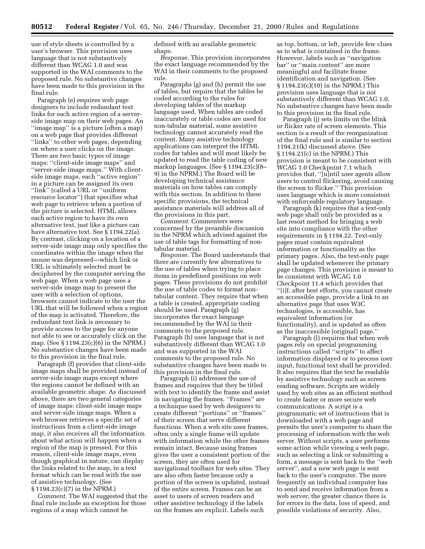use of style sheets is controlled by a user's browser. This provision uses language that is not substantively different than WCAG 1.0 and was supported in the WAI comments to the proposed rule. No substantive changes have been made to this provision in the final rule.

Paragraph (e) requires web page designers to include redundant text links for each active region of a serverside image map on their web pages. An ''image map'' is a picture (often a map) on a web page that provides different "links" to other web pages, depending on where a user clicks on the image. There are two basic types of image maps: ''client-side image maps'' and ''server-side image maps.'' With clientside image maps, each ''active region'' in a picture can be assigned its own ''link'' (called a URL or ''uniform resource locator'') that specifies what web page to retrieve when a portion of the picture is selected. HTML allows each active region to have its own alternative text, just like a picture can have alternative text. See § 1194.22(a). By contrast, clicking on a location of a server-side image map only specifies the coordinates within the image when the mouse was depressed—which link or URL is ultimately selected must be deciphered by the computer serving the web page. When a web page uses a server-side image map to present the user with a selection of options, browsers cannot indicate to the user the URL that will be followed when a region of the map is activated. Therefore, the redundant text link is necessary to provide access to the page for anyone not able to see or accurately click on the map. (See § 1194.23(c)(6) in the NPRM.) No substantive changes have been made to this provision in the final rule.

Paragraph (f) provides that client-side image maps shall be provided instead of server-side image maps except where the regions cannot be defined with an available geometric shape. As discussed above, there are two general categories of image maps: client-side image maps and server-side image maps. When a web browser retrieves a specific set of instructions from a client-side image map, it also receives all the information about what action will happen when a region of the map is pressed. For this reason, client-side image maps, even though graphical in nature, can display the links related to the map, in a text format which can be read with the use of assistive technology. (See § 1194.23(c)(7) in the NPRM.)

*Comment.* The WAI suggested that the final rule include an exception for those regions of a map which cannot be

defined with an available geometric shape.

*Response.* This provision incorporates the exact language recommended by the WAI in their comments to the proposed rule.

Paragraphs (g) and (h) permit the use of tables, but require that the tables be coded according to the rules for developing tables of the markup language used. When tables are coded inaccurately or table codes are used for non-tabular material, some assistive technology cannot accurately read the content. Many assistive technology applications can interpret the HTML codes for tables and will most likely be updated to read the table coding of new markup languages. (See § 1194.23(c)(8– 9) in the NPRM.) The Board will be developing technical assistance materials on how tables can comply with this section. In addition to these specific provisions, the technical assistance materials will address all of the provisions in this part.

*Comment.* Commenters were concerned by the preamble discussion in the NPRM which advised against the use of table tags for formatting of nontabular material.

*Response.* The Board understands that there are currently few alternatives to the use of tables when trying to place items in predefined positions on web pages. These provisions do not prohibit the use of table codes to format nontabular content. They require that when a table is created, appropriate coding should be used. Paragraph (g) incorporates the exact language recommended by the WAI in their comments to the proposed rule. Paragraph (h) uses language that is not substantively different than WCAG 1.0 and was supported in the WAI comments to the proposed rule. No substantive changes have been made to this provision in the final rule.

Paragraph (i) addresses the use of frames and requires that they be titled with text to identify the frame and assist in navigating the frames. ''Frames'' are a technique used by web designers to create different ''portions'' or ''frames'' of their screen that serve different functions. When a web site uses frames, often only a single frame will update with information while the other frames remain intact. Because using frames gives the user a consistent portion of the screen, they are often used for navigational toolbars for web sites. They are also often faster because only a portion of the screen is updated, instead of the entire screen. Frames can be an asset to users of screen readers and other assistive technology if the labels on the frames are explicit. Labels such

as top, bottom, or left, provide few clues as to what is contained in the frame. However, labels such as ''navigation bar'' or ''main content'' are more meaningful and facilitate frame identification and navigation. (See § 1194.23(c)(10) in the NPRM.) This provision uses language that is not substantively different than WCAG 1.0. No substantive changes have been made to this provision in the final rule.

Paragraph (j) sets limits on the blink or flicker rate of screen elements. This section is a result of the reorganization of the final rule and is similar to section 1194.21(k) discussed above. (See § 1194.21(c) in the NPRM.) This provision is meant to be consistent with WCAG 1.0 Checkpoint 7.1 which provides that, ''[u]ntil user agents allow users to control flickering, avoid causing the screen to flicker.'' This provision uses language which is more consistent with enforceable regulatory language.

Paragraph (k) requires that a text-only web page shall only be provided as a last resort method for bringing a web site into compliance with the other requirements in § 1194.22. Text-only pages must contain equivalent information or functionality as the primary pages. Also, the text-only page shall be updated whenever the primary page changes. This provision is meant to be consistent with WCAG 1.0 Checkpoint 11.4 which provides that ''[i]f, after best efforts, you cannot create an accessible page, provide a link to an alternative page that uses W3C technologies, is accessible, has equivalent information (or functionality), and is updated as often as the inaccessible (original) page.''

Paragraph (l) requires that when web pages rely on special programming instructions called ''scripts'' to affect information displayed or to process user input, functional text shall be provided. It also requires that the text be readable by assistive technology such as screen reading software. Scripts are widely used by web sites as an efficient method to create faster or more secure web communications. A script is a programmatic set of instructions that is downloaded with a web page and permits the user's computer to share the processing of information with the web server. Without scripts, a user performs some action while viewing a web page, such as selecting a link or submitting a form, a message is sent back to the ''web server'', and a new web page is sent back to the user's computer. The more frequently an individual computer has to send and receive information from a web server, the greater chance there is for errors in the data, loss of speed, and possible violations of security. Also,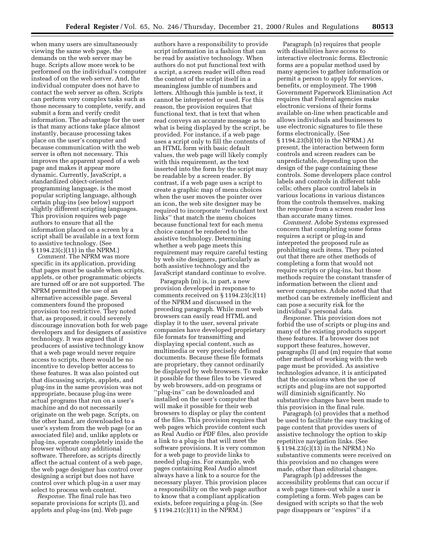when many users are simultaneously viewing the same web page, the demands on the web server may be huge. Scripts allow more work to be performed on the individual's computer instead of on the web server. And, the individual computer does not have to contact the web server as often. Scripts can perform very complex tasks such as those necessary to complete, verify, and submit a form and verify credit information. The advantage for the user is that many actions take place almost instantly, because processing takes place on the user's computer and because communication with the web server is often not necessary. This improves the apparent speed of a web page and makes it appear more dynamic. Currently, JavaScript, a standardized object-oriented programming language, is the most popular scripting language, although certain plug-ins (see below) support slightly different scripting languages. This provision requires web page authors to ensure that all the information placed on a screen by a script shall be available in a text form to assistive technology. (See § 1194.23(c)(11) in the NPRM.)

*Comment.* The NPRM was more specific in its application, providing that pages must be usable when scripts, applets, or other programmatic objects are turned off or are not supported. The NPRM permitted the use of an alternative accessible page. Several commenters found the proposed provision too restrictive. They noted that, as proposed, it could severely discourage innovation both for web page developers and for designers of assistive technology. It was argued that if producers of assistive technology know that a web page would never require access to scripts, there would be no incentive to develop better access to these features. It was also pointed out that discussing scripts, applets, and plug-ins in the same provision was not appropriate, because plug-ins were actual programs that run on a user's machine and do not necessarily originate on the web page. Scripts, on the other hand, are downloaded to a user's system from the web page (or an associated file) and, unlike applets or plug-ins, operate completely inside the browser without any additional software. Therefore, as scripts directly affect the actual content of a web page, the web page designer has control over designing a script but does not have control over which plug-in a user may select to process web content.

*Response.* The final rule has two separate provisions for scripts (l), and applets and plug-ins (m). Web page

authors have a responsibility to provide script information in a fashion that can be read by assistive technology. When authors do not put functional text with a script, a screen reader will often read the content of the script itself in a meaningless jumble of numbers and letters. Although this jumble is text, it cannot be interpreted or used. For this reason, the provision requires that functional text, that is text that when read conveys an accurate message as to what is being displayed by the script, be provided. For instance, if a web page uses a script only to fill the contents of an HTML form with basic default values, the web page will likely comply with this requirement, as the text inserted into the form by the script may be readable by a screen reader. By contrast, if a web page uses a script to create a graphic map of menu choices when the user moves the pointer over an icon, the web site designer may be required to incorporate ''redundant text links'' that match the menu choices because functional text for each menu choice cannot be rendered to the assistive technology. Determining whether a web page meets this requirement may require careful testing by web site designers, particularly as both assistive technology and the JavaScript standard continue to evolve.

Paragraph (m) is, in part, a new provision developed in response to comments received on § 1194.23(c)(11) of the NPRM and discussed in the preceding paragraph. While most web browsers can easily read HTML and display it to the user, several private companies have developed proprietary file formats for transmitting and displaying special content, such as multimedia or very precisely defined documents. Because these file formats are proprietary, they cannot ordinarily be displayed by web browsers. To make it possible for these files to be viewed by web browsers, add-on programs or ''plug-ins'' can be downloaded and installed on the user's computer that will make it possible for their web browsers to display or play the content of the files. This provision requires that web pages which provide content such as Real Audio or PDF files, also provide a link to a plug-in that will meet the software provisions. It is very common for a web page to provide links to needed plug-ins. For example, web pages containing Real Audio almost always have a link to a source for the necessary player. This provision places a responsibility on the web page author to know that a compliant application exists, before requiring a plug-in. (See § 1194.21(c)(11) in the NPRM.)

Paragraph (n) requires that people with disabilities have access to interactive electronic forms. Electronic forms are a popular method used by many agencies to gather information or permit a person to apply for services, benefits, or employment. The 1998 Government Paperwork Elimination Act requires that Federal agencies make electronic versions of their forms available on-line when practicable and allows individuals and businesses to use electronic signatures to file these forms electronically. (See § 1194.23(b)(10) in the NPRM.) At present, the interaction between form controls and screen readers can be unpredictable, depending upon the design of the page containing these controls. Some developers place control labels and controls in different table cells; others place control labels in various locations in various distances from the controls themselves, making the response from a screen reader less than accurate many times.

*Comment.* Adobe Systems expressed concern that completing some forms requires a script or plug-in and interpreted the proposed rule as prohibiting such items. They pointed out that there are other methods of completing a form that would not require scripts or plug-ins, but those methods require the constant transfer of information between the client and server computers. Adobe noted that that method can be extremely inefficient and can pose a security risk for the individual's personal data.

*Response.* This provision does not forbid the use of scripts or plug-ins and many of the existing products support these features. If a browser does not support these features, however, paragraphs (l) and (m) require that some other method of working with the web page must be provided. As assistive technologies advance, it is anticipated that the occasions when the use of scripts and plug-ins are not supported will diminish significantly. No substantive changes have been made to this provision in the final rule.

Paragraph (o) provides that a method be used to facilitate the easy tracking of page content that provides users of assistive technology the option to skip repetitive navigation links. (See § 1194.23(c)(13) in the NPRM.) No substantive comments were received on this provision and no changes were made, other than editorial changes.

Paragraph (p) addresses the accessibility problems that can occur if a web page times-out while a user is completing a form. Web pages can be designed with scripts so that the web page disappears or ''expires'' if a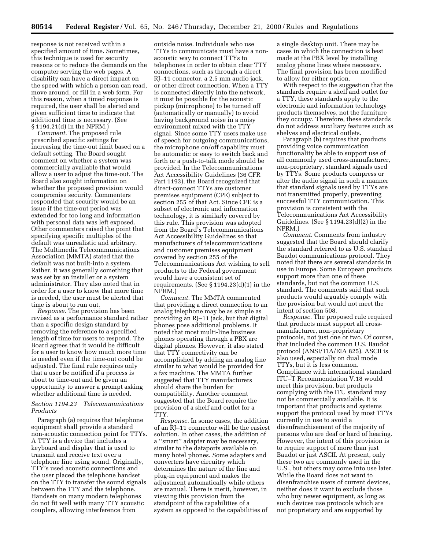response is not received within a specified amount of time. Sometimes, this technique is used for security reasons or to reduce the demands on the computer serving the web pages. A disability can have a direct impact on the speed with which a person can read, move around, or fill in a web form. For this reason, when a timed response is required, the user shall be alerted and given sufficient time to indicate that additional time is necessary. (See § 1194.21(d) in the NPRM.)

*Comment.* The proposed rule prescribed specific settings for increasing the time-out limit based on a default setting. The Board sought comment on whether a system was commercially available that would allow a user to adjust the time-out. The Board also sought information on whether the proposed provision would compromise security. Commenters responded that security would be an issue if the time-out period was extended for too long and information with personal data was left exposed. Other commenters raised the point that specifying specific multiples of the default was unrealistic and arbitrary. The Multimedia Telecommunications Association (MMTA) stated that the default was not built-into a system. Rather, it was generally something that was set by an installer or a system administrator. They also noted that in order for a user to know that more time is needed, the user must be alerted that time is about to run out.

*Response.* The provision has been revised as a performance standard rather than a specific design standard by removing the reference to a specified length of time for users to respond. The Board agrees that it would be difficult for a user to know how much more time is needed even if the time-out could be adjusted. The final rule requires only that a user be notified if a process is about to time-out and be given an opportunity to answer a prompt asking whether additional time is needed.

#### *Section 1194.23 Telecommunications Products*

Paragraph (a) requires that telephone equipment shall provide a standard non-acoustic connection point for TTYs. A TTY is a device that includes a keyboard and display that is used to transmit and receive text over a telephone line using sound. Originally, TTY's used acoustic connections and the user placed the telephone handset on the TTY to transfer the sound signals between the TTY and the telephone. Handsets on many modern telephones do not fit well with many TTY acoustic couplers, allowing interference from

outside noise. Individuals who use TTYs to communicate must have a nonacoustic way to connect TTYs to telephones in order to obtain clear TTY connections, such as through a direct RJ–11 connector, a 2.5 mm audio jack, or other direct connection. When a TTY is connected directly into the network, it must be possible for the acoustic pickup (microphone) to be turned off (automatically or manually) to avoid having background noise in a noisy environment mixed with the TTY signal. Since some TTY users make use of speech for outgoing communications, the microphone on/off capability must be automatic or easy to switch back and forth or a push-to-talk mode should be provided. In the Telecommunications Act Accessibility Guidelines (36 CFR Part 1193), the Board recognized that direct-connect TTYs are customer premises equipment (CPE) subject to section 255 of that Act. Since CPE is a subset of electronic and information technology, it is similarly covered by this rule. This provision was adopted from the Board's Telecommunications Act Accessibility Guidelines so that manufacturers of telecommunications and customer premises equipment covered by section 255 of the Telecommunications Act wishing to sell products to the Federal government would have a consistent set of requirements. (See  $\S 1194.23(d)(1)$  in the NPRM.)

*Comment.* The MMTA commented that providing a direct connection to an analog telephone may be as simple as providing an RJ–11 jack, but that digital phones pose additional problems. It noted that most multi-line business phones operating through a PBX are digital phones. However, it also stated that TTY connectivity can be accomplished by adding an analog line similar to what would be provided for a fax machine. The MMTA further suggested that TTY manufacturers should share the burden for compatibility. Another comment suggested that the Board require the provision of a shelf and outlet for a TTY.

*Response.* In some cases, the addition of an RJ–11 connector will be the easiest solution. In other cases, the addition of a ''smart'' adapter may be necessary, similar to the dataports available on many hotel phones. Some adapters and converters have circuitry which determines the nature of the line and plug-in equipment and makes the adjustment automatically while others are manual. There is merit, however, in viewing this provision from the standpoint of the capabilities of a system as opposed to the capabilities of

a single desktop unit. There may be cases in which the connection is best made at the PBX level by installing analog phone lines where necessary. The final provision has been modified to allow for either option.

With respect to the suggestion that the standards require a shelf and outlet for a TTY, these standards apply to the electronic and information technology products themselves, not the furniture they occupy. Therefore, these standards do not address auxiliary features such as shelves and electrical outlets.

Paragraph (b) requires that products providing voice communication functionality be able to support use of all commonly used cross-manufacturer, non-proprietary, standard signals used by TTYs. Some products compress or alter the audio signal in such a manner that standard signals used by TTYs are not transmitted properly, preventing successful TTY communication. This provision is consistent with the Telecommunications Act Accessibility Guidelines. (See § 1194.23(d)(2) in the NPRM.)

*Comment.* Comments from industry suggested that the Board should clarify the standard referred to as U.S. standard Baudot communications protocol. They noted that there are several standards in use in Europe. Some European products support more than one of these standards, but not the common U.S. standard. The comments said that such products would arguably comply with the provision but would not meet the intent of section 508.

*Response.* The proposed rule required that products must support all crossmanufacturer, non-proprietary protocols, not just one or two. Of course, that included the common U.S. Baudot protocol (ANSI/TIA/EIA 825). ASCII is also used, especially on dual mode TTYs, but it is less common. Compliance with international standard ITU–T Recommendation V.18 would meet this provision, but products complying with the ITU standard may not be commercially available. It is important that products and systems support the protocol used by most TTYs currently in use to avoid a disenfranchisement of the majority of persons who are deaf or hard of hearing. However, the intent of this provision is to require support of more than just Baudot or just ASCII. At present, only these two are commonly used in the U.S., but others may come into use later. While the Board does not want to disenfranchise users of current devices, neither does it want to exclude those who buy newer equipment, as long as such devices use protocols which are not proprietary and are supported by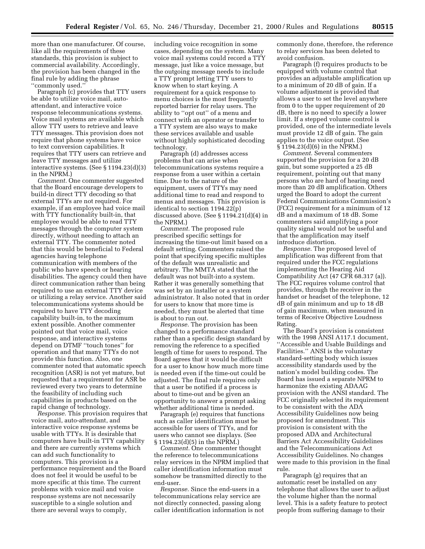more than one manufacturer. Of course, like all the requirements of these standards, this provision is subject to commercial availability. Accordingly, the provision has been changed in the final rule by adding the phrase ''commonly used.''

Paragraph (c) provides that TTY users be able to utilize voice mail, autoattendant, and interactive voice response telecommunications systems. Voice mail systems are available which allow TTY users to retrieve and leave TTY messages. This provision does not require that phone systems have voice to text conversion capabilities. It requires that TTY users can retrieve and leave TTY messages and utilize interactive systems. (See § 1194.23(d)(3) in the NPRM.)

*Comment.* One commenter suggested that the Board encourage developers to build-in direct TTY decoding so that external TTYs are not required. For example, if an employee had voice mail with TTY functionality built-in, that employee would be able to read TTY messages through the computer system directly, without needing to attach an external TTY. The commenter noted that this would be beneficial to Federal agencies having telephone communication with members of the public who have speech or hearing disabilities. The agency could then have direct communication rather than being required to use an external TTY device or utilizing a relay service. Another said telecommunications systems should be required to have TTY decoding capability built-in, to the maximum extent possible. Another commenter pointed out that voice mail, voice response, and interactive systems depend on DTMF ''touch tones'' for operation and that many TTYs do not provide this function. Also, one commenter noted that automatic speech recognition (ASR) is not yet mature, but requested that a requirement for ASR be reviewed every two years to determine the feasibility of including such capabilities in products based on the rapid change of technology.

*Response.* This provision requires that voice mail, auto-attendant, and interactive voice response systems be usable with TTYs. It is desirable that computers have built-in TTY capability and there are currently systems which can add such functionality to computers. This provision is a performance requirement and the Board does not feel it would be useful to be more specific at this time. The current problems with voice mail and voice response systems are not necessarily susceptible to a single solution and there are several ways to comply,

including voice recognition in some cases, depending on the system. Many voice mail systems could record a TTY message, just like a voice message, but the outgoing message needs to include a TTY prompt letting TTY users to know when to start keying. A requirement for a quick response to menu choices is the most frequently reported barrier for relay users. The ability to ''opt out'' of a menu and connect with an operator or transfer to a TTY system are also ways to make these services available and usable without highly sophisticated decoding technology.

Paragraph (d) addresses access problems that can arise when telecommunications systems require a response from a user within a certain time. Due to the nature of the equipment, users of TTYs may need additional time to read and respond to menus and messages. This provision is identical to section 1194.22(p) discussed above. (See § 1194.21(d)(4) in the NPRM.)

*Comment.* The proposed rule prescribed specific settings for increasing the time-out limit based on a default setting. Commenters raised the point that specifying specific multiples of the default was unrealistic and arbitrary. The MMTA stated that the default was not built-into a system. Rather it was generally something that was set by an installer or a system administrator. It also noted that in order for users to know that more time is needed, they must be alerted that time is about to run out.

*Response.* The provision has been changed to a performance standard rather than a specific design standard by removing the reference to a specified length of time for users to respond. The Board agrees that it would be difficult for a user to know how much more time is needed even if the time-out could be adjusted. The final rule requires only that a user be notified if a process is about to time-out and be given an opportunity to answer a prompt asking whether additional time is needed.

Paragraph (e) requires that functions such as caller identification must be accessible for users of TTYs, and for users who cannot see displays. (See § 1194.23(d)(5) in the NPRM.)

*Comment.* One commenter thought the reference to telecommunications relay services in the NPRM implied that caller identification information must somehow be transmitted directly to the end-user.

*Response.* Since the end-users in a telecommunications relay service are not directly connected, passing along caller identification information is not commonly done, therefore, the reference to relay services has been deleted to avoid confusion.

Paragraph (f) requires products to be equipped with volume control that provides an adjustable amplification up to a minimum of 20 dB of gain. If a volume adjustment is provided that allows a user to set the level anywhere from 0 to the upper requirement of 20 dB, there is no need to specify a lower limit. If a stepped volume control is provided, one of the intermediate levels must provide 12 dB of gain. The gain applies to the voice output. (See § 1194.23(d)(6) in the NPRM.)

*Comment.* Several commenters supported the provision for a 20 dB gain, but some supported a 25 dB requirement, pointing out that many persons who are hard of hearing need more than 20 dB amplification. Others urged the Board to adopt the current Federal Communications Commission's (FCC) requirement for a minimum of 12 dB and a maximum of 18 dB. Some commenters said amplifying a poor quality signal would not be useful and that the amplification may itself introduce distortion.

*Response.* The proposed level of amplification was different from that required under the FCC regulations implementing the Hearing Aid Compatibility Act (47 CFR 68.317 (a)). The FCC requires volume control that provides, through the receiver in the handset or headset of the telephone, 12 dB of gain minimum and up to 18 dB of gain maximum, when measured in terms of Receive Objective Loudness Rating.

The Board's provision is consistent with the 1998 ANSI A117.1 document, ''Accessible and Usable Buildings and Facilities.'' ANSI is the voluntary standard-setting body which issues accessibility standards used by the nation's model building codes. The Board has issued a separate NPRM to harmonize the existing ADAAG provision with the ANSI standard. The FCC originally selected its requirement to be consistent with the ADA Accessibility Guidelines now being proposed for amendment. This provision is consistent with the proposed ADA and Architectural Barriers Act Accessibility Guidelines and the Telecommunications Act Accessibility Guidelines. No changes were made to this provision in the final rule.

Paragraph (g) requires that an automatic reset be installed on any telephone that allows the user to adjust the volume higher than the normal level. This is a safety feature to protect people from suffering damage to their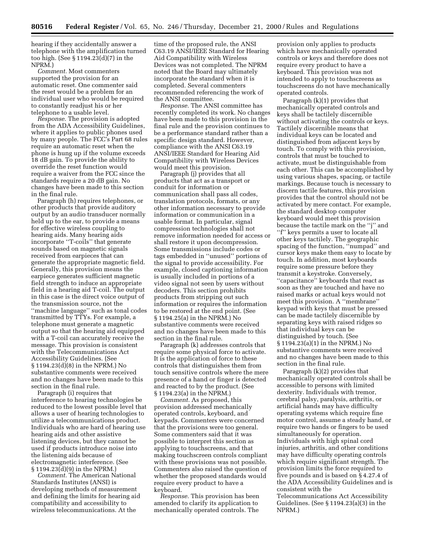hearing if they accidentally answer a telephone with the amplification turned too high. (See § 1194.23(d)(7) in the NPRM.)

*Comment.* Most commenters supported the provision for an automatic reset. One commenter said the reset would be a problem for an individual user who would be required to constantly readjust his or her telephone to a usable level.

*Response.* The provision is adopted from the ADA Accessibility Guidelines, where it applies to public phones used by many people. The FCC's Part 68 rules require an automatic reset when the phone is hung up if the volume exceeds 18 dB gain. To provide the ability to override the reset function would require a waiver from the FCC since the standards require a 20 dB gain. No changes have been made to this section in the final rule.

Paragraph (h) requires telephones, or other products that provide auditory output by an audio transducer normally held up to the ear, to provide a means for effective wireless coupling to hearing aids. Many hearing aids incorporate ''T-coils'' that generate sounds based on magnetic signals received from earpieces that can generate the appropriate magnetic field. Generally, this provision means the earpiece generates sufficient magnetic field strength to induce an appropriate field in a hearing aid T-coil. The output in this case is the direct voice output of the transmission source, not the ''machine language'' such as tonal codes transmitted by TTYs. For example, a telephone must generate a magnetic output so that the hearing aid equipped with a T-coil can accurately receive the message. This provision is consistent with the Telecommunications Act Accessibility Guidelines. (See § 1194.23(d)(8) in the NPRM.) No substantive comments were received and no changes have been made to this section in the final rule.

Paragraph (i) requires that interference to hearing technologies be reduced to the lowest possible level that allows a user of hearing technologies to utilize a telecommunications product. Individuals who are hard of hearing use hearing aids and other assistive listening devices, but they cannot be used if products introduce noise into the listening aids because of electromagnetic interference. (See § 1194.23(d)(9) in the NPRM.)

*Comment.* The American National Standards Institutes (ANSI) is developing methods of measurement and defining the limits for hearing aid compatibility and accessibility to wireless telecommunications. At the

time of the proposed rule, the ANSI C63.19 ANSI/IEEE Standard for Hearing Aid Compatibility with Wireless Devices was not completed. The NPRM noted that the Board may ultimately incorporate the standard when it is completed. Several commenters recommended referencing the work of the ANSI committee.

*Response.* The ANSI committee has recently completed its work. No changes have been made to this provision in the final rule and the provision continues to be a performance standard rather than a specific design standard. However, compliance with the ANSI C63.19 ANSI/IEEE Standard for Hearing Aid Compatibility with Wireless Devices would meet this provision.

Paragraph (j) provides that all products that act as a transport or conduit for information or communication shall pass all codes, translation protocols, formats, or any other information necessary to provide information or communication in a usable format. In particular, signal compression technologies shall not remove information needed for access or shall restore it upon decompression. Some transmissions include codes or tags embedded in ''unused'' portions of the signal to provide accessibility. For example, closed captioning information is usually included in portions of a video signal not seen by users without decoders. This section prohibits products from stripping out such information or requires the information to be restored at the end point. (See § 1194.25(a) in the NPRM.) No substantive comments were received and no changes have been made to this section in the final rule.

Paragraph (k) addresses controls that require some physical force to activate. It is the application of force to these controls that distinguishes them from touch sensitive controls where the mere presence of a hand or finger is detected and reacted to by the product. (See § 1194.23(a) in the NPRM.)

*Comment.* As proposed, this provision addressed mechanically operated controls, keyboard, and keypads. Commenters were concerned that the provisions were too general. Some commenters said that it was possible to interpret this section as applying to touchscreens, and that making touchscreen controls compliant with these provisions was not possible. Commenters also raised the question of whether the proposed standards would require every product to have a keyboard.

*Response.* This provision has been amended to clarify its application to mechanically operated controls. The

provision only applies to products which have mechanically operated controls or keys and therefore does not require every product to have a keyboard. This provision was not intended to apply to touchscreens as touchscreens do not have mechanically operated controls.

Paragraph (k)(1) provides that mechanically operated controls and keys shall be tactilely discernible without activating the controls or keys. Tactilely discernible means that individual keys can be located and distinguished from adjacent keys by touch. To comply with this provision, controls that must be touched to activate, must be distinguishable from each other. This can be accomplished by using various shapes, spacing, or tactile markings. Because touch is necessary to discern tactile features, this provision provides that the control should not be activated by mere contact. For example, the standard desktop computer keyboard would meet this provision because the tactile mark on the ''j'' and ''f'' keys permits a user to locate all other keys tactilely. The geographic spacing of the function, ''numpad'' and cursor keys make them easy to locate by touch. In addition, most keyboards require some pressure before they transmit a keystroke. Conversely, ''capacitance'' keyboards that react as soon as they are touched and have no raised marks or actual keys would not meet this provision. A ''membrane'' keypad with keys that must be pressed can be made tactilely discernible by separating keys with raised ridges so that individual keys can be distinguished by touch. (See § 1194.23(a)(1) in the NPRM.) No substantive comments were received and no changes have been made to this section in the final rule.

Paragraph (k)(2) provides that mechanically operated controls shall be accessible to persons with limited dexterity. Individuals with tremor, cerebral palsy, paralysis, arthritis, or artificial hands may have difficulty operating systems which require fine motor control, assume a steady hand, or require two hands or fingers to be used simultaneously for operation. Individuals with high spinal cord injuries, arthritis, and other conditions may have difficulty operating controls which require significant strength. The provision limits the force required to five pounds and is based on § 4.27.4 of the ADA Accessibility Guidelines and is consistent with the

Telecommunications Act Accessibility Guidelines. (See § 1194.23(a)(3) in the NPRM.)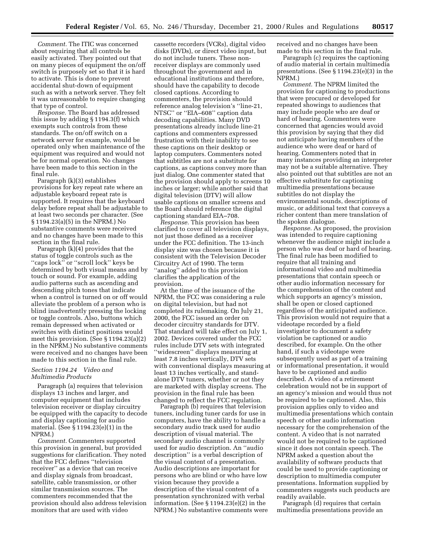*Comment.* The ITIC was concerned about requiring that all controls be easily activated. They pointed out that on many pieces of equipment the on/off switch is purposely set so that it is hard to activate. This is done to prevent accidental shut-down of equipment such as with a network server. They felt it was unreasonable to require changing that type of control.

*Response.* The Board has addressed this issue by adding § 1194.3(f) which exempts such controls from these standards. The on/off switch on a network server for example, would be operated only when maintenance of the equipment was required and would not be for normal operation. No changes have been made to this section in the final rule.

Paragraph (k)(3) establishes provisions for key repeat rate where an adjustable keyboard repeat rate is supported. It requires that the keyboard delay before repeat shall be adjustable to at least two seconds per character. (See § 1194.23(a)(5) in the NPRM.) No substantive comments were received and no changes have been made to this section in the final rule.

Paragraph (k)(4) provides that the status of toggle controls such as the "caps lock" or "scroll lock" keys be determined by both visual means and by touch or sound. For example, adding audio patterns such as ascending and descending pitch tones that indicate when a control is turned on or off would alleviate the problem of a person who is blind inadvertently pressing the locking or toggle controls. Also, buttons which remain depressed when activated or switches with distinct positions would meet this provision. (See § 1194.23(a)(2) in the NPRM.) No substantive comments were received and no changes have been made to this section in the final rule.

#### *Section 1194.24 Video and Multimedia Products*

Paragraph (a) requires that television displays 13 inches and larger, and computer equipment that includes television receiver or display circuitry be equipped with the capacity to decode and display captioning for audio material. (See § 1194.23(e)(1) in the NPRM.)

*Comment.* Commenters supported this provision in general, but provided suggestions for clarification. They noted that the FCC defines ''television receiver'' as a device that can receive and display signals from broadcast, satellite, cable transmission, or other similar transmission sources. The commenters recommended that the provision should also address television monitors that are used with video

cassette recorders (VCRs), digital video disks (DVDs), or direct video input, but do not include tuners. These nonreceiver displays are commonly used throughout the government and in educational institutions and therefore, should have the capability to decode closed captions. According to commenters, the provision should reference analog television's ''line-21, NTSC'' or ''EIA–608'' caption data decoding capabilities. Many DVD presentations already include line-21 captions and commenters expressed frustration with their inability to see these captions on their desktop or laptop computers. Commenters noted that subtitles are not a substitute for captions, as captions convey more than just dialog. One commenter stated that the provision should apply to screens 10 inches or larger; while another said that digital television (DTV) will allow usable captions on smaller screens and the Board should reference the digital captioning standard EIA–708.

*Response.* This provision has been clarified to cover all television displays, not just those defined as a receiver under the FCC definition. The 13-inch display size was chosen because it is consistent with the Television Decoder Circuitry Act of 1990. The term "analog" added to this provision clarifies the application of the provision.

At the time of the issuance of the NPRM, the FCC was considering a rule on digital television, but had not completed its rulemaking. On July 21, 2000, the FCC issued an order on decoder circuitry standards for DTV. That standard will take effect on July 1, 2002. Devices covered under the FCC rules include DTV sets with integrated ''widescreen'' displays measuring at least 7.8 inches vertically, DTV sets with conventional displays measuring at least 13 inches vertically, and standalone DTV tuners, whether or not they are marketed with display screens. The provision in the final rule has been changed to reflect the FCC regulation.

Paragraph (b) requires that television tuners, including tuner cards for use in computers, have the ability to handle a secondary audio track used for audio description of visual material. The secondary audio channel is commonly used for audio description. An ''audio description'' is a verbal description of the visual content of a presentation. Audio descriptions are important for persons who are blind or who have low vision because they provide a description of the visual content of a presentation synchronized with verbal information. (See § 1194.23(e)(2) in the NPRM.) No substantive comments were received and no changes have been made to this section in the final rule.

Paragraph (c) requires the captioning of audio material in certain multimedia presentations. (See § 1194.23(e)(3) in the NPRM.)

*Comment.* The NPRM limited the provision for captioning to productions that were procured or developed for repeated showings to audiences that may include people who are deaf or hard of hearing. Commenters were concerned that agencies would avoid this provision by saying that they did not anticipate having members of the audience who were deaf or hard of hearing. Commenters noted that in many instances providing an interpreter may not be a suitable alternative. They also pointed out that subtitles are not an effective substitute for captioning multimedia presentations because subtitles do not display the environmental sounds, descriptions of music, or additional text that conveys a richer content than mere translation of the spoken dialogue.

*Response.* As proposed, the provision was intended to require captioning whenever the audience might include a person who was deaf or hard of hearing. The final rule has been modified to require that all training and informational video and multimedia presentations that contain speech or other audio information necessary for the comprehension of the content and which supports an agency's mission, shall be open or closed captioned regardless of the anticipated audience. This provision would not require that a videotape recorded by a field investigator to document a safety violation be captioned or audio described, for example. On the other hand, if such a videotape were subsequently used as part of a training or informational presentation, it would have to be captioned and audio described. A video of a retirement celebration would not be in support of an agency's mission and would thus not be required to be captioned. Also, this provision applies only to video and multimedia presentations which contain speech or other audio information necessary for the comprehension of the content. A video that is not narrated would not be required to be captioned since it does not contain speech. The NPRM asked a question about the availability of software products that could be used to provide captioning or description to multimedia computer presentations. Information supplied by commenters suggests such products are readily available.

Paragraph (d) requires that certain multimedia presentations provide an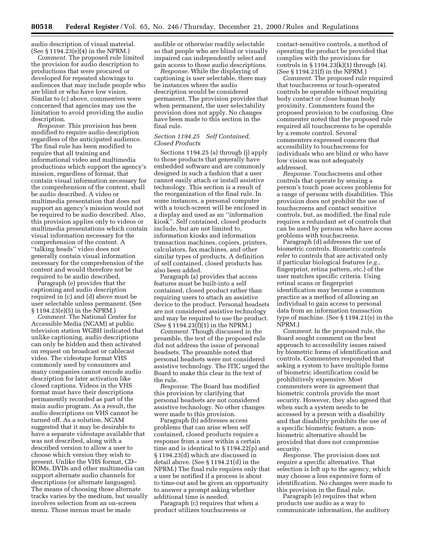audio description of visual material. (See § 1194.23(e)(4) in the NPRM.)

*Comment.* The proposed rule limited the provision for audio description to productions that were procured or developed for repeated showings to audiences that may include people who are blind or who have low vision. Similar to (c) above, commenters were concerned that agencies may use the limitation to avoid providing the audio description.

*Response.* This provision has been modified to require audio description regardless of the anticipated audience. The final rule has been modified to require that all training and informational video and multimedia productions which support the agency's mission, regardless of format, that contain visual information necessary for the comprehension of the content, shall be audio described. A video or multimedia presentation that does not support an agency's mission would not be required to be audio described. Also, this provision applies only to videos or multimedia presentations which contain visual information necessary for the comprehension of the content. A ''talking heads'' video does not generally contain visual information necessary for the comprehension of the content and would therefore not be required to be audio described.

Paragraph (e) provides that the captioning and audio description required in (c) and (d) above must be user selectable unless permanent. (See § 1194.23(e)(5) in the NPRM.)

*Comment.* The National Center for Accessible Media (NCAM) at public television station WGBH indicated that unlike captioning, audio descriptions can only be hidden and then activated on request on broadcast or cablecast video. The videotape format VHS commonly used by consumers and many companies cannot encode audio description for later activation like closed captions. Videos in the VHS format must have their descriptions permanently recorded as part of the main audio program. As a result, the audio descriptions on VHS cannot be turned off. As a solution, NCAM suggested that it may be desirable to have a separate videotape available that was not described, along with a described version to allow a user to choose which version they wish to present. Unlike the VHS format, CD– ROMs, DVDs and other multimedia can support alternate audio channels for descriptions (or alternate languages). The means of choosing those alternate tracks varies by the medium, but usually involves selection from an on-screen menu. Those menus must be made

audible or otherwise readily selectable so that people who are blind or visually impaired can independently select and gain access to those audio descriptions.

*Response.* While the displaying of captioning is user selectable, there may be instances where the audio description would be considered permanent. The provision provides that when permanent, the user selectability provision does not apply. No changes have been made to this section in the final rule.

#### *Section 1194.25 Self Contained, Closed Products*

Sections 1194.25 (a) through (j) apply to those products that generally have embedded software and are commonly designed in such a fashion that a user cannot easily attach or install assistive technology. This section is a result of the reorganization of the final rule. In some instances, a personal computer with a touch-screen will be enclosed in a display and used as an ''information kiosk''. Self contained, closed products include, but are not limited to, information kiosks and information transaction machines, copiers, printers, calculators, fax machines, and other similar types of products. A definition of self contained, closed products has also been added.

Paragraph (a) provides that access features must be built-into a self contained, closed product rather than requiring users to attach an assistive device to the product. Personal headsets are not considered assistive technology and may be required to use the product. (See § 1194.23(f)(1) in the NPRM.)

*Comment.* Though discussed in the preamble, the text of the proposed rule did not address the issue of personal headsets. The preamble noted that personal headsets were not considered assistive technology. The ITIC urged the Board to make this clear in the text of the rule.

*Response.* The Board has modified this provision by clarifying that personal headsets are not considered assistive technology. No other changes were made to this provision.

Paragraph (b) addresses access problems that can arise when self contained, closed products require a response from a user within a certain time and is identical to § 1194.22(p) and § 1194.23(d) which are discussed in detail above. (See § 1194.21(d) in the NPRM.) The final rule requires only that a user be notified if a process is about to time-out and be given an opportunity to answer a prompt asking whether additional time is needed.

Paragraph (c) requires that when a product utilizes touchscreens or

contact-sensitive controls, a method of operating the product be provided that complies with the provisions for controls in  $\S 1194.23(k)(1)$  through (4). (See § 1194.21(f) in the NPRM.)

*Comment.* The proposed rule required that touchscreens or touch-operated controls be operable without requiring body contact or close human body proximity. Commenters found the proposed provision to be confusing. One commenter noted that the proposed rule required all touchscreens to be operable by a remote control. Several commenters expressed concern that accessibility to touchscreens for individuals who are blind or who have low vision was not adequately addressed.

*Response.* Touchscreens and other controls that operate by sensing a person's touch pose access problems for a range of persons with disabilities. This provision does not prohibit the use of touchscreens and contact sensitive controls, but, as modified, the final rule requires a redundant set of controls that can be used by persons who have access problems with touchscreens.

Paragraph (d) addresses the use of biometric controls. Biometric controls refer to controls that are activated only if particular biological features (*e.g.,* fingerprint, retina pattern, etc.) of the user matches specific criteria. Using retinal scans or fingerprint identification may become a common practice as a method of allowing an individual to gain access to personal data from an information transaction type of machine. (See § 1194.21(e) in the NPRM.)

*Comment.* In the proposed rule, the Board sought comment on the best approach to accessibility issues raised by biometric forms of identification and controls. Commenters responded that asking a system to have multiple forms of biometric identification could be prohibitively expensive. Most commenters were in agreement that biometric controls provide the most security. However, they also agreed that when such a system needs to be accessed by a person with a disability and that disability prohibits the use of a specific biometric feature, a nonbiometric alternative should be provided that does not compromise security.

*Response.* The provision does not require a specific alternative. That selection is left up to the agency, which may choose a less expensive form of identification. No changes were made to this provision in the final rule.

Paragraph (e) requires that when products use audio as a way to communicate information, the auditory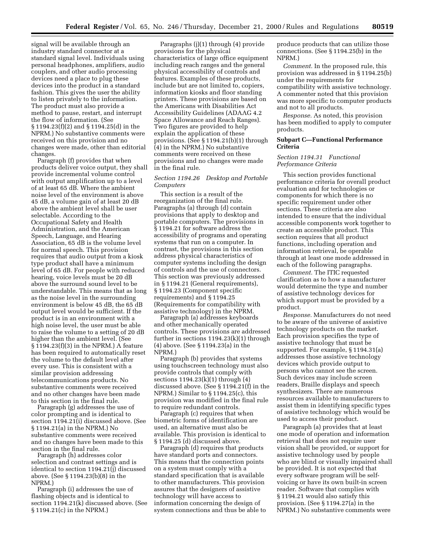signal will be available through an industry standard connector at a standard signal level. Individuals using personal headphones, amplifiers, audio couplers, and other audio processing devices need a place to plug these devices into the product in a standard fashion. This gives the user the ability to listen privately to the information. The product must also provide a method to pause, restart, and interrupt the flow of information. (See § 1194.23(f)(2) and § 1194.25(d) in the NPRM.) No substantive comments were received on this provision and no changes were made, other than editorial changes.

Paragraph (f) provides that when products deliver voice output, they shall provide incremental volume control with output amplification up to a level of at least 65 dB. Where the ambient noise level of the environment is above 45 dB, a volume gain of at least 20 dB above the ambient level shall be user selectable. According to the Occupational Safety and Health Administration, and the American Speech, Language, and Hearing Association, 65 dB is the volume level for normal speech. This provision requires that audio output from a kiosk type product shall have a minimum level of 65 dB. For people with reduced hearing, voice levels must be 20 dB above the surround sound level to be understandable. This means that as long as the noise level in the surrounding environment is below 45 dB, the 65 dB output level would be sufficient. If the product is in an environment with a high noise level, the user must be able to raise the volume to a setting of 20 dB higher than the ambient level. (See § 1194.23(f)(3) in the NPRM.) A feature has been required to automatically reset the volume to the default level after every use. This is consistent with a similar provision addressing telecommunications products. No substantive comments were received and no other changes have been made to this section in the final rule.

Paragraph (g) addresses the use of color prompting and is identical to section 1194.21(i) discussed above. (See § 1194.21(a) in the NPRM.) No substantive comments were received and no changes have been made to this section in the final rule.

Paragraph (h) addresses color selection and contrast settings and is identical to section 1194.21(j) discussed above. (See § 1194.23(b)(8) in the NPRM.)

Paragraph (i) addresses the use of flashing objects and is identical to section 1194.21(k) discussed above. (See § 1194.21(c) in the NPRM.)

Paragraphs (j)(1) through (4) provide provisions for the physical characteristics of large office equipment including reach ranges and the general physical accessibility of controls and features. Examples of these products, include but are not limited to, copiers, information kiosks and floor standing printers. These provisions are based on the Americans with Disabilities Act Accessibility Guidelines (ADAAG 4.2 Space Allowance and Reach Ranges). Two figures are provided to help explain the application of these provisions. (See § 1194.21(b)(1) through (4) in the NPRM.) No substantive comments were received on these provisions and no changes were made in the final rule.

#### *Section 1194.26 Desktop and Portable Computers*

This section is a result of the reorganization of the final rule. Paragraphs (a) through (d) contain provisions that apply to desktop and portable computers. The provisions in § 1194.21 for software address the accessibility of programs and operating systems that run on a computer. In contrast, the provisions in this section address physical characteristics of computer systems including the design of controls and the use of connectors. This section was previously addressed in § 1194.21 (General requirements), § 1194.23 (Component specific requirements) and § 1194.25 (Requirements for compatibility with assistive technology) in the NPRM.

Paragraph (a) addresses keyboards and other mechanically operated controls. These provisions are addressed further in sections 1194.23(k)(1) through (4) above. (See § 1194.23(a) in the NPRM.)

Paragraph (b) provides that systems using touchscreen technology must also provide controls that comply with sections 1194.23(k)(1) through (4) discussed above. (See § 1194.21(f) in the NPRM.) Similar to § 1194.25(c), this provision was modified in the final rule to require redundant controls.

Paragraph (c) requires that when biometric forms of identification are used, an alternative must also be available. This provision is identical to § 1194.25 (d) discussed above.

Paragraph (d) requires that products have standard ports and connectors. This means that the connection points on a system must comply with a standard specification that is available to other manufacturers. This provision assures that the designers of assistive technology will have access to information concerning the design of system connections and thus be able to produce products that can utilize those connections. (See § 1194.25(b) in the NPRM.)

*Comment.* In the proposed rule, this provision was addressed in § 1194.25(b) under the requirements for compatibility with assistive technology. A commenter noted that this provision was more specific to computer products and not to all products.

*Response.* As noted, this provision has been modified to apply to computer products.

#### **Subpart C—Functional Performance Criteria**

#### *Section 1194.31 Functional Performance Criteria*

This section provides functional performance criteria for overall product evaluation and for technologies or components for which there is no specific requirement under other sections. These criteria are also intended to ensure that the individual accessible components work together to create an accessible product. This section requires that all product functions, including operation and information retrieval, be operable through at least one mode addressed in each of the following paragraphs.

*Comment.* The ITIC requested clarification as to how a manufacturer would determine the type and number of assistive technology devices for which support must be provided by a product.

*Response.* Manufacturers do not need to be aware of the universe of assistive technology products on the market. Each provision specifies the type of assistive technology that must be supported. For example, § 1194.31(a) addresses those assistive technology devices which provide output to persons who cannot see the screen. Such devices may include screen readers, Braille displays and speech synthesizers. There are numerous resources available to manufacturers to assist them in identifying specific types of assistive technology which would be used to access their product.

Paragraph (a) provides that at least one mode of operation and information retrieval that does not require user vision shall be provided, or support for assistive technology used by people who are blind or visually impaired shall be provided. It is not expected that every software program will be selfvoicing or have its own built-in screen reader. Software that complies with § 1194.21 would also satisfy this provision. (See § 1194.27(a) in the NPRM.) No substantive comments were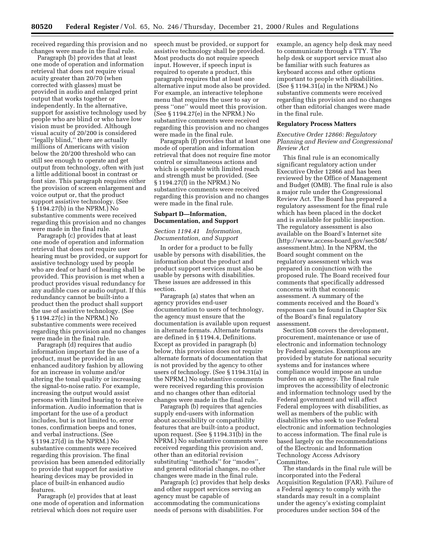received regarding this provision and no changes were made in the final rule.

Paragraph (b) provides that at least one mode of operation and information retrieval that does not require visual acuity greater than 20/70 (when corrected with glasses) must be provided in audio and enlarged print output that works together or independently. In the alternative, support for assistive technology used by people who are blind or who have low vision must be provided. Although visual acuity of 20/200 is considered ''legally blind,'' there are actually millions of Americans with vision below the 20/200 threshold who can still see enough to operate and get output from technology, often with just a little additional boost in contrast or font size. This paragraph requires either the provision of screen enlargement and voice output or, that the product support assistive technology. (See § 1194.27(b) in the NPRM.) No substantive comments were received regarding this provision and no changes were made in the final rule.

Paragraph (c) provides that at least one mode of operation and information retrieval that does not require user hearing must be provided, or support for assistive technology used by people who are deaf or hard of hearing shall be provided. This provision is met when a product provides visual redundancy for any audible cues or audio output. If this redundancy cannot be built-into a product then the product shall support the use of assistive technology. (See § 1194.27(c) in the NPRM.) No substantive comments were received regarding this provision and no changes were made in the final rule.

Paragraph (d) requires that audio information important for the use of a product, must be provided in an enhanced auditory fashion by allowing for an increase in volume and/or altering the tonal quality or increasing the signal-to-noise ratio. For example, increasing the output would assist persons with limited hearing to receive information. Audio information that is important for the use of a product includes, but is not limited to, error tones, confirmation beeps and tones, and verbal instructions. (See § 1194.27(d) in the NPRM.) No substantive comments were received regarding this provision. The final provision has been amended editorially to provide that support for assistive hearing devices may be provided in place of built-in enhanced audio features.

Paragraph (e) provides that at least one mode of operation and information retrieval which does not require user

speech must be provided, or support for assistive technology shall be provided. Most products do not require speech input. However, if speech input is required to operate a product, this paragraph requires that at least one alternative input mode also be provided. For example, an interactive telephone menu that requires the user to say or press ''one'' would meet this provision. (See § 1194.27(e) in the NPRM.) No substantive comments were received regarding this provision and no changes were made in the final rule.

Paragraph (f) provides that at least one mode of operation and information retrieval that does not require fine motor control or simultaneous actions and which is operable with limited reach and strength must be provided. (See § 1194.27(f) in the NPRM.) No substantive comments were received regarding this provision and no changes were made in the final rule.

#### **Subpart D—Information, Documentation, and Support**

#### *Section 1194.41 Information, Documentation, and Support*

In order for a product to be fully usable by persons with disabilities, the information about the product and product support services must also be usable by persons with disabilities. These issues are addressed in this section.

Paragraph (a) states that when an agency provides end-user documentation to users of technology, the agency must ensure that the documentation is available upon request in alternate formats. Alternate formats are defined in § 1194.4, Definitions. Except as provided in paragraph (b) below, this provision does not require alternate formats of documentation that is not provided by the agency to other users of technology. (See § 1194.31(a) in the NPRM.) No substantive comments were received regarding this provision and no changes other than editorial changes were made in the final rule.

Paragraph (b) requires that agencies supply end-users with information about accessibility or compatibility features that are built-into a product, upon request. (See § 1194.31(b) in the NPRM.) No substantive comments were received regarding this provision and, other than an editorial revision substituting ''methods'' for ''modes'', and general editorial changes, no other changes were made in the final rule.

Paragraph (c) provides that help desks and other support services serving an agency must be capable of accommodating the communications needs of persons with disabilities. For

example, an agency help desk may need to communicate through a TTY. The help desk or support service must also be familiar with such features as keyboard access and other options important to people with disabilities. (See § 1194.31(a) in the NPRM.) No substantive comments were received regarding this provision and no changes other than editorial changes were made in the final rule.

#### **Regulatory Process Matters**

*Executive Order 12866: Regulatory Planning and Review and Congressional Review Act*

This final rule is an economically significant regulatory action under Executive Order 12866 and has been reviewed by the Office of Management and Budget (OMB). The final rule is also a major rule under the Congressional Review Act. The Board has prepared a regulatory assessment for the final rule which has been placed in the docket and is available for public inspection. The regulatory assessment is also available on the Board's Internet site (http://www.access-board.gov/sec508/ assessment.htm). In the NPRM, the Board sought comment on the regulatory assessment which was prepared in conjunction with the proposed rule. The Board received four comments that specifically addressed concerns with that economic assessment. A summary of the comments received and the Board's responses can be found in Chapter Six of the Board's final regulatory assessment.

Section 508 covers the development, procurement, maintenance or use of electronic and information technology by Federal agencies. Exemptions are provided by statute for national security systems and for instances where compliance would impose an undue burden on an agency. The final rule improves the accessibility of electronic and information technology used by the Federal government and will affect Federal employees with disabilities, as well as members of the public with disabilities who seek to use Federal electronic and information technologies to access information. The final rule is based largely on the recommendations of the Electronic and Information Technology Access Advisory Committee.

The standards in the final rule will be incorporated into the Federal Acquisition Regulation (FAR). Failure of a Federal agency to comply with the standards may result in a complaint under the agency's existing complaint procedures under section 504 of the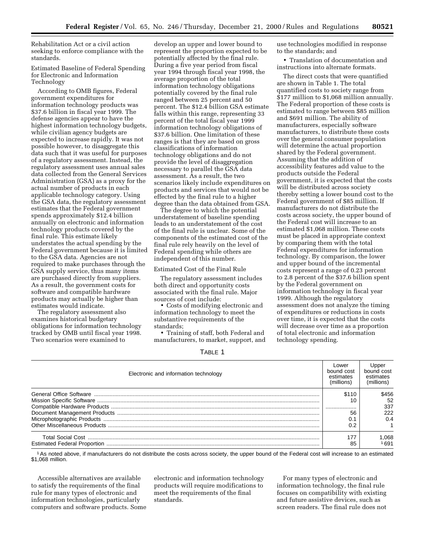Rehabilitation Act or a civil action seeking to enforce compliance with the standards.

Estimated Baseline of Federal Spending for Electronic and Information Technology

According to OMB figures, Federal government expenditures for information technology products was \$37.6 billion in fiscal year 1999. The defense agencies appear to have the highest information technology budgets, while civilian agency budgets are expected to increase rapidly. It was not possible however, to disaggregate this data such that it was useful for purposes of a regulatory assessment. Instead, the regulatory assessment uses annual sales data collected from the General Services Administration (GSA) as a proxy for the actual number of products in each applicable technology category. Using the GSA data, the regulatory assessment estimates that the Federal government spends approximately \$12.4 billion annually on electronic and information technology products covered by the final rule. This estimate likely understates the actual spending by the Federal government because it is limited to the GSA data. Agencies are not required to make purchases through the GSA supply service, thus many items are purchased directly from suppliers. As a result, the government costs for software and compatible hardware products may actually be higher than estimates would indicate.

The regulatory assessment also examines historical budgetary obligations for information technology tracked by OMB until fiscal year 1998. Two scenarios were examined to

develop an upper and lower bound to represent the proportion expected to be potentially affected by the final rule. During a five year period from fiscal year 1994 through fiscal year 1998, the average proportion of the total information technology obligations potentially covered by the final rule ranged between 25 percent and 50 percent. The \$12.4 billion GSA estimate falls within this range, representing 33 percent of the total fiscal year 1999 information technology obligations of \$37.6 billion. One limitation of these ranges is that they are based on gross classifications of information technology obligations and do not provide the level of disaggregation necessary to parallel the GSA data assessment. As a result, the two scenarios likely include expenditures on products and services that would not be effected by the final rule to a higher degree than the data obtained from GSA.

The degree to which the potential understatement of baseline spending leads to an understatement of the cost of the final rule is unclear. Some of the components of the estimated cost of the final rule rely heavily on the level of Federal spending while others are independent of this number.

#### Estimated Cost of the Final Rule

The regulatory assessment includes both direct and opportunity costs associated with the final rule. Major sources of cost include:

• Costs of modifying electronic and information technology to meet the substantive requirements of the standards;

• Training of staff, both Federal and manufacturers, to market, support, and use technologies modified in response to the standards; and

• Translation of documentation and instructions into alternate formats.

The direct costs that were quantified are shown in Table 1. The total quantified costs to society range from \$177 million to \$1,068 million annually. The Federal proportion of these costs is estimated to range between \$85 million and \$691 million. The ability of manufacturers, especially software manufacturers, to distribute these costs over the general consumer population will determine the actual proportion shared by the Federal government. Assuming that the addition of accessibility features add value to the products outside the Federal government, it is expected that the costs will be distributed across society thereby setting a lower bound cost to the Federal government of \$85 million. If manufacturers do not distribute the costs across society, the upper bound of the Federal cost will increase to an estimated \$1,068 million. These costs must be placed in appropriate context by comparing them with the total Federal expenditures for information technology. By comparison, the lower and upper bound of the incremental costs represent a range of 0.23 percent to 2.8 percent of the \$37.6 billion spent by the Federal government on information technology in fiscal year 1999. Although the regulatory assessment does not analyze the timing of expenditures or reductions in costs over time, it is expected that the costs will decrease over time as a proportion of total electronic and information technology spending.

| P. |  |
|----|--|
|----|--|

| Electronic and information technology | Lower<br>bound cost<br>estimates<br>(millions) | Upper<br>bound cost<br>estimates<br>(millions) |
|---------------------------------------|------------------------------------------------|------------------------------------------------|
|                                       | \$110<br>56<br>0.2                             | \$456<br>52<br>337<br>222<br>0.4               |
|                                       | 177<br>85                                      | 1.068<br>1 691                                 |

1As noted above, if manufacturers do not distribute the costs across society, the upper bound of the Federal cost will increase to an estimated \$1,068 million.

Accessible alternatives are available to satisfy the requirements of the final rule for many types of electronic and information technologies, particularly computers and software products. Some

electronic and information technology products will require modifications to meet the requirements of the final standards.

For many types of electronic and information technology, the final rule focuses on compatibility with existing and future assistive devices, such as screen readers. The final rule does not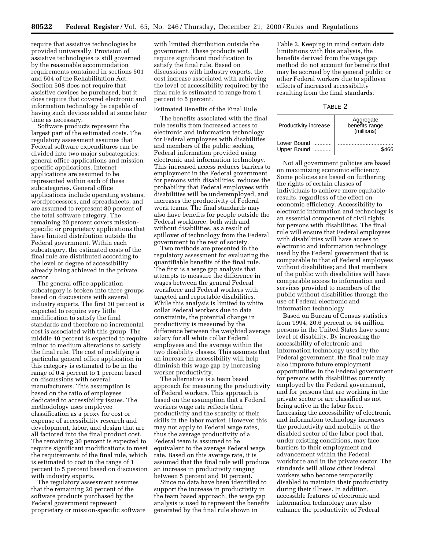require that assistive technologies be provided universally. Provision of assistive technologies is still governed by the reasonable accommodation requirements contained in sections 501 and 504 of the Rehabilitation Act. Section 508 does not require that assistive devices be purchased, but it does require that covered electronic and information technology be capable of having such devices added at some later time as necessary.

Software products represent the largest part of the estimated costs. The regulatory assessment assumes that Federal software expenditures can be divided into two major subcategories: general office applications and missionspecific applications. Internet applications are assumed to be represented within each of these subcategories. General office applications include operating systems, wordprocessors, and spreadsheets, and are assumed to represent 80 percent of the total software category. The remaining 20 percent covers missionspecific or proprietary applications that have limited distribution outside the Federal government. Within each subcategory, the estimated costs of the final rule are distributed according to the level or degree of accessibility already being achieved in the private sector.

The general office application subcategory is broken into three groups based on discussions with several industry experts. The first 30 percent is expected to require very little modification to satisfy the final standards and therefore no incremental cost is associated with this group. The middle 40 percent is expected to require minor to medium alterations to satisfy the final rule. The cost of modifying a particular general office application in this category is estimated to be in the range of 0.4 percent to 1 percent based on discussions with several manufacturers. This assumption is based on the ratio of employees dedicated to accessibility issues. The methodology uses employee classification as a proxy for cost or expense of accessibility research and development, labor, and design that are all factored into the final product cost. The remaining 30 percent is expected to require significant modifications to meet the requirements of the final rule, which is estimated to cost in the range of 1 percent to 5 percent based on discussion with industry experts.

The regulatory assessment assumes that the remaining 20 percent of the software products purchased by the Federal government represent proprietary or mission-specific software

with limited distribution outside the government. These products will require significant modification to satisfy the final rule. Based on discussions with industry experts, the cost increase associated with achieving the level of accessibility required by the final rule is estimated to range from 1 percent to 5 percent.

#### Estimated Benefits of the Final Rule

The benefits associated with the final rule results from increased access to electronic and information technology for Federal employees with disabilities and members of the public seeking Federal information provided using electronic and information technology. This increased access reduces barriers to employment in the Federal government for persons with disabilities, reduces the probability that Federal employees with disabilities will be underemployed, and increases the productivity of Federal work teams. The final standards may also have benefits for people outside the Federal workforce, both with and without disabilities, as a result of spillover of technology from the Federal government to the rest of society.

Two methods are presented in the regulatory assessment for evaluating the quantifiable benefits of the final rule. The first is a wage gap analysis that attempts to measure the difference in wages between the general Federal workforce and Federal workers with targeted and reportable disabilities. While this analysis is limited to white collar Federal workers due to data constraints, the potential change in productivity is measured by the difference between the weighted average salary for all white collar Federal employees and the average within the two disability classes. This assumes that an increase in accessibility will help diminish this wage gap by increasing worker productivity.

The alternative is a team based approach for measuring the productivity of Federal workers. This approach is based on the assumption that a Federal workers wage rate reflects their productivity and the scarcity of their skills in the labor market. However this may not apply to Federal wage rates, thus the average productivity of a Federal team is assumed to be equivalent to the average Federal wage rate. Based on this average rate, it is assumed that the final rule will produce an increase in productivity ranging between 5 percent and 10 percent.

Since no data have been identified to support the increase in productivity in the team based approach, the wage gap analysis is used to represent the benefits generated by the final rule shown in

Table 2. Keeping in mind certain data limitations with this analysis, the benefits derived from the wage gap method do not account for benefits that may be accrued by the general public or other Federal workers due to spillover effects of increased accessibility resulting from the final standards.

TABLE 2

| Productivity increase      | Aggregate<br>benefits range<br>(millions) |
|----------------------------|-------------------------------------------|
| Lower Bound<br>Upper Bound | \$466                                     |

Not all government policies are based on maximizing economic efficiency. Some policies are based on furthering the rights of certain classes of individuals to achieve more equitable results, regardless of the effect on economic efficiency. Accessibility to electronic information and technology is an essential component of civil rights for persons with disabilities. The final rule will ensure that Federal employees with disabilities will have access to electronic and information technology used by the Federal government that is comparable to that of Federal employees without disabilities; and that members of the public with disabilities will have comparable access to information and services provided to members of the public without disabilities through the use of Federal electronic and information technology.

Based on Bureau of Census statistics from 1994, 20.6 percent or 54 million persons in the United States have some level of disability. By increasing the accessibility of electronic and information technology used by the Federal government, the final rule may also improve future employment opportunities in the Federal government for persons with disabilities currently employed by the Federal government, and for persons that are working in the private sector or are classified as not being active in the labor force. Increasing the accessibility of electronic and information technology increases the productivity and mobility of the disabled sector of the labor pool that, under existing conditions, may face barriers to their employment and advancement within the Federal workforce and in the private sector. The standards will allow other Federal workers who become temporarily disabled to maintain their productivity during their illness. In addition, accessible features of electronic and information technology may also enhance the productivity of Federal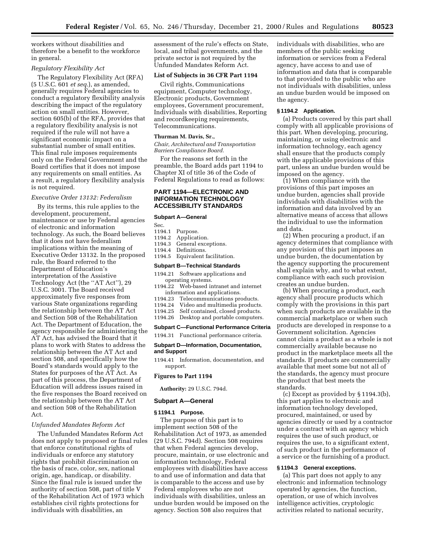workers without disabilities and therefore be a benefit to the workforce in general.

#### *Regulatory Flexibility Act*

The Regulatory Flexibility Act (RFA) (5 U.S.C. 601 *et seq.*), as amended, generally requires Federal agencies to conduct a regulatory flexibility analysis describing the impact of the regulatory action on small entities. However, section 605(b) of the RFA, provides that a regulatory flexibility analysis is not required if the rule will not have a significant economic impact on a substantial number of small entities. This final rule imposes requirements only on the Federal Government and the Board certifies that it does not impose any requirements on small entities. As a result, a regulatory flexibility analysis is not required.

#### *Executive Order 13132: Federalism*

By its terms, this rule applies to the development, procurement, maintenance or use by Federal agencies of electronic and information technology. As such, the Board believes that it does not have federalism implications within the meaning of Executive Order 13132. In the proposed rule, the Board referred to the Department of Education's interpretation of the Assistive Technology Act (the ''AT Act''), 29 U.S.C. 3001. The Board received approximately five responses from various State organizations regarding the relationship between the AT Act and Section 508 of the Rehabilitation Act. The Department of Education, the agency responsible for administering the AT Act, has advised the Board that it plans to work with States to address the relationship between the AT Act and section 508, and specifically how the Board's standards would apply to the States for purposes of the AT Act. As part of this process, the Department of Education will address issues raised in the five responses the Board received on the relationship between the AT Act and section 508 of the Rehabilitation Act.

#### *Unfunded Mandates Reform Act*

The Unfunded Mandates Reform Act does not apply to proposed or final rules that enforce constitutional rights of individuals or enforce any statutory rights that prohibit discrimination on the basis of race, color, sex, national origin, age, handicap, or disability. Since the final rule is issued under the authority of section 508, part of title V of the Rehabilitation Act of 1973 which establishes civil rights protections for individuals with disabilities, an

assessment of the rule's effects on State, local, and tribal governments, and the private sector is not required by the Unfunded Mandates Reform Act.

#### **List of Subjects in 36 CFR Part 1194**

Civil rights, Communications equipment, Computer technology, Electronic products, Government employees, Government procurement, Individuals with disabilities, Reporting and recordkeeping requirements, Telecommunications.

#### **Thurman M. Davis, Sr.,**

*Chair, Architectural and Transportation Barriers Compliance Board.*

For the reasons set forth in the preamble, the Board adds part 1194 to Chapter XI of title 36 of the Code of Federal Regulations to read as follows:

#### **PART 1194—ELECTRONIC AND INFORMATION TECHNOLOGY ACCESSIBILITY STANDARDS**

#### **Subpart A—General**

- Sec.
- 1194.1 Purpose.
- 1194.2 Application.
- 1194.3 General exceptions.<br>1194.4 Definitions.
- 1194.4 Definitions.<br>1194.5 Equivalent f Equivalent facilitation.

#### **Subpart B—Technical Standards**

#### 1194.21 Software applications and operating systems.

- 1194.22 Web-based intranet and internet information and applications.
- 1194.23 Telecommunications products.<br>1194.24 Video and multimedia products
- 1194.24 Video and multimedia products.<br>1194.25 Self contained, closed products.
- Self contained, closed products.
- 1194.26 Desktop and portable computers.

#### **Subpart C—Functional Performance Criteria**

#### 1194.31 Functional performance criteria.

#### **Subpart D—Information, Documentation, and Support**

1194.41 Information, documentation, and support.

#### **Figures to Part 1194**

**Authority:** 29 U.S.C. 794d.

#### **Subpart A—General**

#### **§ 1194.1 Purpose.**

The purpose of this part is to implement section 508 of the Rehabilitation Act of 1973, as amended (29 U.S.C. 794d). Section 508 requires that when Federal agencies develop, procure, maintain, or use electronic and information technology, Federal employees with disabilities have access to and use of information and data that is comparable to the access and use by Federal employees who are not individuals with disabilities, unless an undue burden would be imposed on the agency. Section 508 also requires that

individuals with disabilities, who are members of the public seeking information or services from a Federal agency, have access to and use of information and data that is comparable to that provided to the public who are not individuals with disabilities, unless an undue burden would be imposed on the agency.

#### **§ 1194.2 Application.**

(a) Products covered by this part shall comply with all applicable provisions of this part. When developing, procuring, maintaining, or using electronic and information technology, each agency shall ensure that the products comply with the applicable provisions of this part, unless an undue burden would be imposed on the agency.

(1) When compliance with the provisions of this part imposes an undue burden, agencies shall provide individuals with disabilities with the information and data involved by an alternative means of access that allows the individual to use the information and data.

(2) When procuring a product, if an agency determines that compliance with any provision of this part imposes an undue burden, the documentation by the agency supporting the procurement shall explain why, and to what extent, compliance with each such provision creates an undue burden.

(b) When procuring a product, each agency shall procure products which comply with the provisions in this part when such products are available in the commercial marketplace or when such products are developed in response to a Government solicitation. Agencies cannot claim a product as a whole is not commercially available because no product in the marketplace meets all the standards. If products are commercially available that meet some but not all of the standards, the agency must procure the product that best meets the standards.

(c) Except as provided by § 1194.3(b), this part applies to electronic and information technology developed, procured, maintained, or used by agencies directly or used by a contractor under a contract with an agency which requires the use of such product, or requires the use, to a significant extent, of such product in the performance of a service or the furnishing of a product.

#### **§ 1194.3 General exceptions.**

(a) This part does not apply to any electronic and information technology operated by agencies, the function, operation, or use of which involves intelligence activities, cryptologic activities related to national security,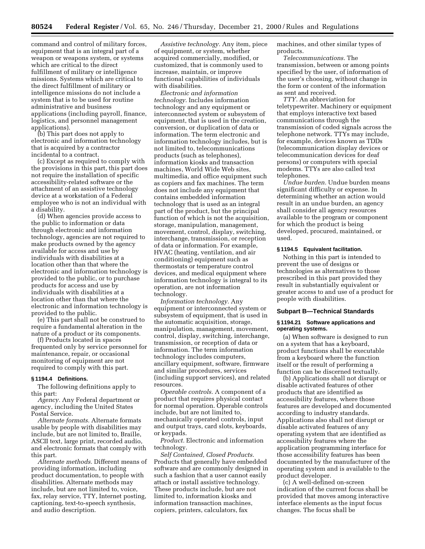command and control of military forces, equipment that is an integral part of a weapon or weapons system, or systems which are critical to the direct fulfillment of military or intelligence missions. Systems which are critical to the direct fulfillment of military or intelligence missions do not include a system that is to be used for routine administrative and business applications (including payroll, finance, logistics, and personnel management applications).

(b) This part does not apply to electronic and information technology that is acquired by a contractor incidental to a contract.

(c) Except as required to comply with the provisions in this part, this part does not require the installation of specific accessibility-related software or the attachment of an assistive technology device at a workstation of a Federal employee who is not an individual with a disability.

(d) When agencies provide access to the public to information or data through electronic and information technology, agencies are not required to make products owned by the agency available for access and use by individuals with disabilities at a location other than that where the electronic and information technology is provided to the public, or to purchase products for access and use by individuals with disabilities at a location other than that where the electronic and information technology is provided to the public.

(e) This part shall not be construed to require a fundamental alteration in the nature of a product or its components.

(f) Products located in spaces frequented only by service personnel for maintenance, repair, or occasional monitoring of equipment are not required to comply with this part.

#### **§ 1194.4 Definitions.**

The following definitions apply to this part:

*Agency.* Any Federal department or agency, including the United States Postal Service.

*Alternate formats.* Alternate formats usable by people with disabilities may include, but are not limited to, Braille, ASCII text, large print, recorded audio, and electronic formats that comply with this part.

*Alternate methods.* Different means of providing information, including product documentation, to people with disabilities. Alternate methods may include, but are not limited to, voice, fax, relay service, TTY, Internet posting, captioning, text-to-speech synthesis, and audio description.

*Assistive technology.* Any item, piece of equipment, or system, whether acquired commercially, modified, or customized, that is commonly used to increase, maintain, or improve functional capabilities of individuals with disabilities.

*Electronic and information technology.* Includes information technology and any equipment or interconnected system or subsystem of equipment, that is used in the creation, conversion, or duplication of data or information. The term electronic and information technology includes, but is not limited to, telecommunications products (such as telephones), information kiosks and transaction machines, World Wide Web sites, multimedia, and office equipment such as copiers and fax machines. The term does not include any equipment that contains embedded information technology that is used as an integral part of the product, but the principal function of which is not the acquisition, storage, manipulation, management, movement, control, display, switching, interchange, transmission, or reception of data or information. For example, HVAC (heating, ventilation, and air conditioning) equipment such as thermostats or temperature control devices, and medical equipment where information technology is integral to its operation, are not information technology.

*Information technology.* Any equipment or interconnected system or subsystem of equipment, that is used in the automatic acquisition, storage, manipulation, management, movement, control, display, switching, interchange, transmission, or reception of data or information. The term information technology includes computers, ancillary equipment, software, firmware and similar procedures, services (including support services), and related resources.

*Operable controls.* A component of a product that requires physical contact for normal operation. Operable controls include, but are not limited to, mechanically operated controls, input and output trays, card slots, keyboards, or keypads.

*Product.* Electronic and information technology.

*Self Contained, Closed Products.* Products that generally have embedded software and are commonly designed in such a fashion that a user cannot easily attach or install assistive technology. These products include, but are not limited to, information kiosks and information transaction machines, copiers, printers, calculators, fax

machines, and other similar types of products.

*Telecommunications.* The transmission, between or among points specified by the user, of information of the user's choosing, without change in the form or content of the information as sent and received.

*TTY.* An abbreviation for teletypewriter. Machinery or equipment that employs interactive text based communications through the transmission of coded signals across the telephone network. TTYs may include, for example, devices known as TDDs (telecommunication display devices or telecommunication devices for deaf persons) or computers with special modems. TTYs are also called text telephones.

*Undue burden.* Undue burden means significant difficulty or expense. In determining whether an action would result in an undue burden, an agency shall consider all agency resources available to the program or component for which the product is being developed, procured, maintained, or used.

#### **§ 1194.5 Equivalent facilitation.**

Nothing in this part is intended to prevent the use of designs or technologies as alternatives to those prescribed in this part provided they result in substantially equivalent or greater access to and use of a product for people with disabilities.

#### **Subpart B—Technical Standards**

#### **§ 1194.21 Software applications and operating systems.**

(a) When software is designed to run on a system that has a keyboard, product functions shall be executable from a keyboard where the function itself or the result of performing a function can be discerned textually.

(b) Applications shall not disrupt or disable activated features of other products that are identified as accessibility features, where those features are developed and documented according to industry standards. Applications also shall not disrupt or disable activated features of any operating system that are identified as accessibility features where the application programming interface for those accessibility features has been documented by the manufacturer of the operating system and is available to the product developer.

(c) A well-defined on-screen indication of the current focus shall be provided that moves among interactive interface elements as the input focus changes. The focus shall be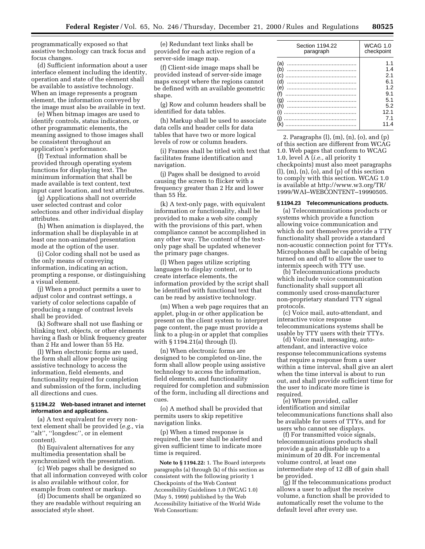programmatically exposed so that assistive technology can track focus and focus changes.

(d) Sufficient information about a user interface element including the identity, operation and state of the element shall be available to assistive technology. When an image represents a program element, the information conveyed by the image must also be available in text.

(e) When bitmap images are used to identify controls, status indicators, or other programmatic elements, the meaning assigned to those images shall be consistent throughout an application's performance.

(f) Textual information shall be provided through operating system functions for displaying text. The minimum information that shall be made available is text content, text input caret location, and text attributes.

(g) Applications shall not override user selected contrast and color selections and other individual display attributes.

(h) When animation is displayed, the information shall be displayable in at least one non-animated presentation mode at the option of the user.

(i) Color coding shall not be used as the only means of conveying information, indicating an action, prompting a response, or distinguishing a visual element.

(j) When a product permits a user to adjust color and contrast settings, a variety of color selections capable of producing a range of contrast levels shall be provided.

(k) Software shall not use flashing or blinking text, objects, or other elements having a flash or blink frequency greater than 2 Hz and lower than 55 Hz.

(l) When electronic forms are used, the form shall allow people using assistive technology to access the information, field elements, and functionality required for completion and submission of the form, including all directions and cues.

#### **§ 1194.22 Web-based intranet and internet information and applications.**

(a) A text equivalent for every nontext element shall be provided (*e.g.,* via ''alt'', ''longdesc'', or in element content).

(b) Equivalent alternatives for any multimedia presentation shall be synchronized with the presentation.

(c) Web pages shall be designed so that all information conveyed with color is also available without color, for example from context or markup.

(d) Documents shall be organized so they are readable without requiring an associated style sheet.

(e) Redundant text links shall be provided for each active region of a server-side image map.

(f) Client-side image maps shall be provided instead of server-side image maps except where the regions cannot be defined with an available geometric shape.

(g) Row and column headers shall be identified for data tables.

(h) Markup shall be used to associate data cells and header cells for data tables that have two or more logical levels of row or column headers.

(i) Frames shall be titled with text that facilitates frame identification and navigation.

(j) Pages shall be designed to avoid causing the screen to flicker with a frequency greater than 2 Hz and lower than 55 Hz.

(k) A text-only page, with equivalent information or functionality, shall be provided to make a web site comply with the provisions of this part, when compliance cannot be accomplished in any other way. The content of the textonly page shall be updated whenever the primary page changes.

(l) When pages utilize scripting languages to display content, or to create interface elements, the information provided by the script shall be identified with functional text that can be read by assistive technology.

(m) When a web page requires that an applet, plug-in or other application be present on the client system to interpret page content, the page must provide a link to a plug-in or applet that complies with § 1194.21(a) through (l).

(n) When electronic forms are designed to be completed on-line, the form shall allow people using assistive technology to access the information, field elements, and functionality required for completion and submission of the form, including all directions and cues.

(o) A method shall be provided that permits users to skip repetitive navigation links.

(p) When a timed response is required, the user shall be alerted and given sufficient time to indicate more time is required.

**Note to § 1194.22:** 1. The Board interprets paragraphs (a) through (k) of this section as consistent with the following priority 1 Checkpoints of the Web Content Accessibility Guidelines 1.0 (WCAG 1.0) (May 5, 1999) published by the Web Accessibility Initiative of the World Wide Web Consortium:

| Section 1194.22                                 | <b>WCAG 1.0</b>                                                          |
|-------------------------------------------------|--------------------------------------------------------------------------|
| paragraph                                       | checkpoint                                                               |
| (a)<br>(C)<br><br>(d)<br>(e)<br><br>(G)<br><br> | 11<br>1.4<br>2.1<br>6.1<br>1.2<br>9.1<br>51<br>5.2<br>12.1<br>71<br>11.4 |

2. Paragraphs (l), (m), (n), (o), and (p) of this section are different from WCAG 1.0. Web pages that conform to WCAG 1.0, level A (*i.e.,* all priority 1 checkpoints) must also meet paragraphs  $(l), (m), (n), (o), and (p)$  of this section to comply with this section. WCAG 1.0 is available at http://www.w3.org/TR/ 1999/WAI–WEBCONTENT–19990505.

#### **§ 1194.23 Telecommunications products.**

(a) Telecommunications products or systems which provide a function allowing voice communication and which do not themselves provide a TTY functionality shall provide a standard non-acoustic connection point for TTYs. Microphones shall be capable of being turned on and off to allow the user to intermix speech with TTY use.

(b) Telecommunications products which include voice communication functionality shall support all commonly used cross-manufacturer non-proprietary standard TTY signal protocols.

(c) Voice mail, auto-attendant, and interactive voice response telecommunications systems shall be usable by TTY users with their TTYs.

(d) Voice mail, messaging, autoattendant, and interactive voice response telecommunications systems that require a response from a user within a time interval, shall give an alert when the time interval is about to run out, and shall provide sufficient time for the user to indicate more time is required.

(e) Where provided, caller identification and similar telecommunications functions shall also be available for users of TTYs, and for users who cannot see displays.

(f) For transmitted voice signals, telecommunications products shall provide a gain adjustable up to a minimum of 20 dB. For incremental volume control, at least one intermediate step of 12 dB of gain shall be provided.

(g) If the telecommunications product allows a user to adjust the receive volume, a function shall be provided to automatically reset the volume to the default level after every use.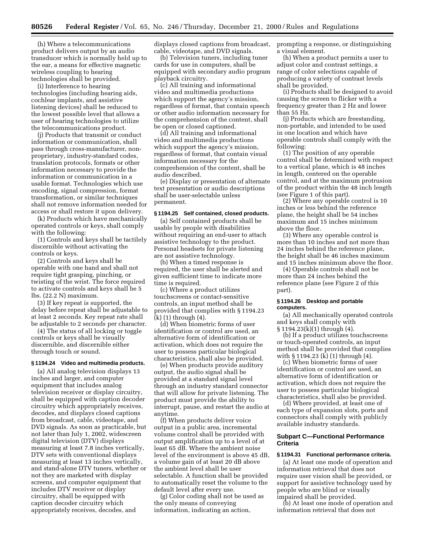(h) Where a telecommunications product delivers output by an audio transducer which is normally held up to the ear, a means for effective magnetic wireless coupling to hearing technologies shall be provided.

(i) Interference to hearing technologies (including hearing aids, cochlear implants, and assistive listening devices) shall be reduced to the lowest possible level that allows a user of hearing technologies to utilize the telecommunications product.

(j) Products that transmit or conduct information or communication, shall pass through cross-manufacturer, nonproprietary, industry-standard codes, translation protocols, formats or other information necessary to provide the information or communication in a usable format. Technologies which use encoding, signal compression, format transformation, or similar techniques shall not remove information needed for access or shall restore it upon delivery.

(k) Products which have mechanically operated controls or keys, shall comply with the following:

(1) Controls and keys shall be tactilely discernible without activating the controls or keys.

(2) Controls and keys shall be operable with one hand and shall not require tight grasping, pinching, or twisting of the wrist. The force required to activate controls and keys shall be 5 lbs. (22.2 N) maximum.

(3) If key repeat is supported, the delay before repeat shall be adjustable to at least 2 seconds. Key repeat rate shall be adjustable to 2 seconds per character.

(4) The status of all locking or toggle controls or keys shall be visually discernible, and discernible either through touch or sound.

#### **§ 1194.24 Video and multimedia products.**

(a) All analog television displays 13 inches and larger, and computer equipment that includes analog television receiver or display circuitry, shall be equipped with caption decoder circuitry which appropriately receives, decodes, and displays closed captions from broadcast, cable, videotape, and DVD signals. As soon as practicable, but not later than July 1, 2002, widescreen digital television (DTV) displays measuring at least 7.8 inches vertically, DTV sets with conventional displays measuring at least 13 inches vertically, and stand-alone DTV tuners, whether or not they are marketed with display screens, and computer equipment that includes DTV receiver or display circuitry, shall be equipped with caption decoder circuitry which appropriately receives, decodes, and

displays closed captions from broadcast, cable, videotape, and DVD signals.

(b) Television tuners, including tuner cards for use in computers, shall be equipped with secondary audio program playback circuitry.

(c) All training and informational video and multimedia productions which support the agency's mission, regardless of format, that contain speech or other audio information necessary for the comprehension of the content, shall be open or closed captioned.

(d) All training and informational video and multimedia productions which support the agency's mission, regardless of format, that contain visual information necessary for the comprehension of the content, shall be audio described.

(e) Display or presentation of alternate text presentation or audio descriptions shall be user-selectable unless permanent.

#### **§ 1194.25 Self contained, closed products.**

(a) Self contained products shall be usable by people with disabilities without requiring an end-user to attach assistive technology to the product. Personal headsets for private listening are not assistive technology.

(b) When a timed response is required, the user shall be alerted and given sufficient time to indicate more time is required.

(c) Where a product utilizes touchscreens or contact-sensitive controls, an input method shall be provided that complies with § 1194.23 (k) (1) through (4).

(d) When biometric forms of user identification or control are used, an alternative form of identification or activation, which does not require the user to possess particular biological characteristics, shall also be provided.

(e) When products provide auditory output, the audio signal shall be provided at a standard signal level through an industry standard connector that will allow for private listening. The product must provide the ability to interrupt, pause, and restart the audio at anytime.

(f) When products deliver voice output in a public area, incremental volume control shall be provided with output amplification up to a level of at least 65 dB. Where the ambient noise level of the environment is above 45 dB, a volume gain of at least 20 dB above the ambient level shall be user selectable. A function shall be provided to automatically reset the volume to the default level after every use.

(g) Color coding shall not be used as the only means of conveying information, indicating an action,

prompting a response, or distinguishing a visual element.

(h) When a product permits a user to adjust color and contrast settings, a range of color selections capable of producing a variety of contrast levels shall be provided.

(i) Products shall be designed to avoid causing the screen to flicker with a frequency greater than 2 Hz and lower than 55 Hz.

(j) Products which are freestanding, non-portable, and intended to be used in one location and which have operable controls shall comply with the following:

(1) The position of any operable control shall be determined with respect to a vertical plane, which is 48 inches in length, centered on the operable control, and at the maximum protrusion of the product within the 48 inch length (see Figure 1 of this part).

(2) Where any operable control is 10 inches or less behind the reference plane, the height shall be 54 inches maximum and 15 inches minimum above the floor.

(3) Where any operable control is more than 10 inches and not more than 24 inches behind the reference plane, the height shall be 46 inches maximum and 15 inches minimum above the floor.

(4) Operable controls shall not be more than 24 inches behind the reference plane (see Figure 2 of this part).

#### **§ 1194.26 Desktop and portable computers.**

(a) All mechanically operated controls and keys shall comply with

§ 1194.23(k)(1) through (4). (b) If a product utilizes touchscreens or touch-operated controls, an input method shall be provided that complies with § 1194.23 (k) (1) through (4).

(c) When biometric forms of user identification or control are used, an alternative form of identification or activation, which does not require the user to possess particular biological characteristics, shall also be provided.

(d) Where provided, at least one of each type of expansion slots, ports and connectors shall comply with publicly available industry standards.

#### **Subpart C—Functional Performance Criteria**

#### **§ 1194.31 Functional performance criteria.**

(a) At least one mode of operation and information retrieval that does not require user vision shall be provided, or support for assistive technology used by people who are blind or visually impaired shall be provided.

(b) At least one mode of operation and information retrieval that does not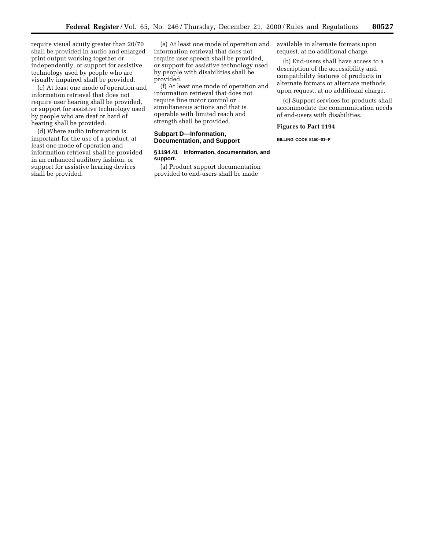require visual acuity greater than 20/70 shall be provided in audio and enlarged print output working together or independently, or support for assistive technology used by people who are visually impaired shall be provided.

(c) At least one mode of operation and information retrieval that does not require user hearing shall be provided, or support for assistive technology used by people who are deaf or hard of hearing shall be provided.

(d) Where audio information is important for the use of a product, at least one mode of operation and information retrieval shall be provided in an enhanced auditory fashion, or support for assistive hearing devices shall be provided.

(e) At least one mode of operation and information retrieval that does not require user speech shall be provided, or support for assistive technology used by people with disabilities shall be provided.

(f) At least one mode of operation and information retrieval that does not require fine motor control or simultaneous actions and that is operable with limited reach and strength shall be provided.

#### **Subpart D—Information, Documentation, and Support**

#### **§ 1194.41 Information, documentation, and support.**

(a) Product support documentation provided to end-users shall be made

available in alternate formats upon request, at no additional charge.

(b) End-users shall have access to a description of the accessibility and compatibility features of products in alternate formats or alternate methods upon request, at no additional charge.

(c) Support services for products shall accommodate the communication needs of end-users with disabilities.

#### **Figures to Part 1194**

**BILLING CODE 8150–01–P**